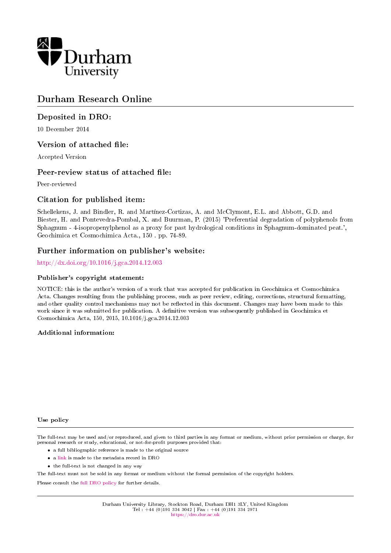

# Durham Research Online

### Deposited in DRO:

10 December 2014

### Version of attached file:

Accepted Version

### Peer-review status of attached file:

Peer-reviewed

### Citation for published item:

Schellekens, J. and Bindler, R. and Martínez-Cortizas, A. and McClymont, E.L. and Abbott, G.D. and Biester, H. and Pontevedra-Pombal, X. and Buurman, P. (2015) 'Preferential degradation of polyphenols from Sphagnum - 4-isopropenylphenol as a proxy for past hydrological conditions in Sphagnum-dominated peat.', Geochimica et Cosmochimica Acta., 150 . pp. 74-89.

### Further information on publisher's website:

#### <http://dx.doi.org/10.1016/j.gca.2014.12.003>

#### Publisher's copyright statement:

NOTICE: this is the author's version of a work that was accepted for publication in Geochimica et Cosmochimica Acta. Changes resulting from the publishing process, such as peer review, editing, corrections, structural formatting, and other quality control mechanisms may not be reflected in this document. Changes may have been made to this work since it was submitted for publication. A definitive version was subsequently published in Geochimica et Cosmochimica Acta, 150, 2015, 10.1016/j.gca.2014.12.003

#### Additional information:

#### Use policy

The full-text may be used and/or reproduced, and given to third parties in any format or medium, without prior permission or charge, for personal research or study, educational, or not-for-profit purposes provided that:

- a full bibliographic reference is made to the original source
- a [link](http://dro.dur.ac.uk/14002/) is made to the metadata record in DRO
- the full-text is not changed in any way

The full-text must not be sold in any format or medium without the formal permission of the copyright holders.

Please consult the [full DRO policy](https://dro.dur.ac.uk/policies/usepolicy.pdf) for further details.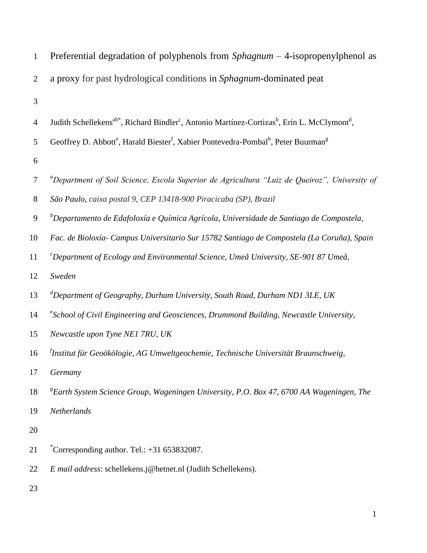| 1              | Preferential degradation of polyphenols from $Sphagnum - 4$ -isopropenylphenol as                                                            |
|----------------|----------------------------------------------------------------------------------------------------------------------------------------------|
| $\overline{2}$ | a proxy for past hydrological conditions in Sphagnum-dominated peat                                                                          |
| 3              |                                                                                                                                              |
| 4              | Judith Schellekens <sup>ab*</sup> , Richard Bindler <sup>c</sup> , Antonio Martínez-Cortizas <sup>b</sup> , Erin L. McClymont <sup>d</sup> , |
| 5              | Geoffrey D. Abbott <sup>e</sup> , Harald Biester <sup>f</sup> , Xabier Pontevedra-Pombal <sup>b</sup> , Peter Buurman <sup>g</sup>           |
| 6              |                                                                                                                                              |
| 7              | <sup>a</sup> Department of Soil Science, Escola Superior de Agricultura "Luiz de Queiroz", University of                                     |
| $8\,$          | São Paulo, caixa postal 9, CEP 13418-900 Piracicaba (SP), Brazil                                                                             |
| 9              | ${}^b$ Departamento de Edafoloxía e Química Agrícola, Universidade de Santiago de Compostela,                                                |
| 10             | Fac. de Bioloxía- Campus Universitario Sur 15782 Santiago de Compostela (La Coruña), Spain                                                   |
| 11             | ${}^c$ Department of Ecology and Environmental Science, Umeå University, SE-901 87 Umeå,                                                     |
| 12             | Sweden                                                                                                                                       |
| 13             | ${}^d$ Department of Geography, Durham University, South Road, Durham ND1 3LE, UK                                                            |
| 14             | $\mathscr$ <sup>e</sup> School of Civil Engineering and Geosciences, Drummond Building, Newcastle University,                                |
| 15             | Newcastle upon Tyne NE1 7RU, UK                                                                                                              |
| 16             | <sup>J</sup> Institut für Geoökölogie, AG Umweltgeochemie, Technische Universität Braunschweig,                                              |
| 17             | Germany                                                                                                                                      |
| 18             | <sup>8</sup> Earth System Science Group, Wageningen University, P.O. Box 47, 6700 AA Wageningen, The                                         |
| 19             | Netherlands                                                                                                                                  |
| 20             |                                                                                                                                              |
| 21             | $^*$ Corresponding author. Tel.: $+31$ 653832087.                                                                                            |
| 22             | E mail address: schellekens.j@hetnet.nl (Judith Schellekens).                                                                                |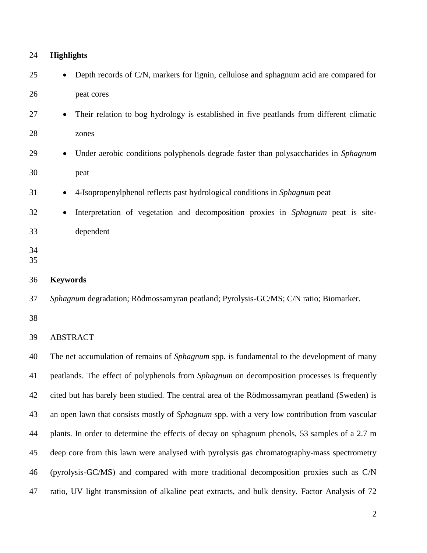| 24       | <b>Highlights</b>                                                                                    |
|----------|------------------------------------------------------------------------------------------------------|
| 25       | Depth records of C/N, markers for lignin, cellulose and sphagnum acid are compared for               |
| 26       | peat cores                                                                                           |
| 27       | Their relation to bog hydrology is established in five peatlands from different climatic             |
| 28       | zones                                                                                                |
| 29       | Under aerobic conditions polyphenols degrade faster than polysaccharides in Sphagnum                 |
| 30       | peat                                                                                                 |
| 31       | 4-Isopropenylphenol reflects past hydrological conditions in Sphagnum peat                           |
| 32       | Interpretation of vegetation and decomposition proxies in Sphagnum peat is site-                     |
| 33       | dependent                                                                                            |
| 34<br>35 |                                                                                                      |
| 36       | <b>Keywords</b>                                                                                      |
| 37       | Sphagnum degradation; Rödmossamyran peatland; Pyrolysis-GC/MS; C/N ratio; Biomarker.                 |
| 38       |                                                                                                      |
| 39       | <b>ABSTRACT</b>                                                                                      |
| 40       | The net accumulation of remains of Sphagnum spp. is fundamental to the development of many           |
| 41       | peatlands. The effect of polyphenols from <i>Sphagnum</i> on decomposition processes is frequently   |
| 42       | cited but has barely been studied. The central area of the Rödmossamyran peatland (Sweden) is        |
| 43       | an open lawn that consists mostly of <i>Sphagnum</i> spp. with a very low contribution from vascular |
| 44       | plants. In order to determine the effects of decay on sphagnum phenols, 53 samples of a 2.7 m        |
| 45       | deep core from this lawn were analysed with pyrolysis gas chromatography-mass spectrometry           |
| 46       | (pyrolysis-GC/MS) and compared with more traditional decomposition proxies such as C/N               |
| 47       | ratio, UV light transmission of alkaline peat extracts, and bulk density. Factor Analysis of 72      |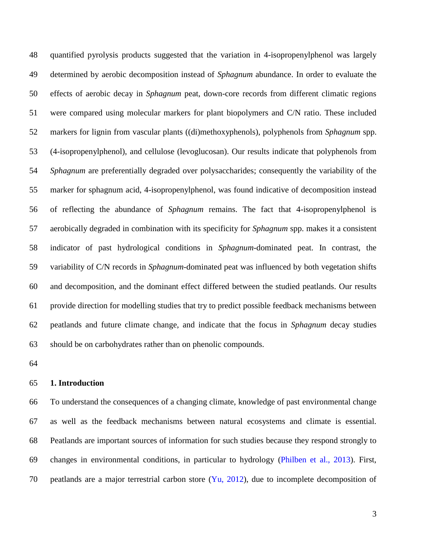quantified pyrolysis products suggested that the variation in 4-isopropenylphenol was largely determined by aerobic decomposition instead of *Sphagnum* abundance. In order to evaluate the effects of aerobic decay in *Sphagnum* peat, down-core records from different climatic regions were compared using molecular markers for plant biopolymers and C/N ratio. These included markers for lignin from vascular plants ((di)methoxyphenols), polyphenols from *Sphagnum* spp. (4-isopropenylphenol), and cellulose (levoglucosan). Our results indicate that polyphenols from *Sphagnum* are preferentially degraded over polysaccharides; consequently the variability of the marker for sphagnum acid, 4-isopropenylphenol, was found indicative of decomposition instead of reflecting the abundance of *Sphagnum* remains. The fact that 4-isopropenylphenol is aerobically degraded in combination with its specificity for *Sphagnum* spp. makes it a consistent indicator of past hydrological conditions in *Sphagnum*-dominated peat. In contrast, the variability of C/N records in *Sphagnum*-dominated peat was influenced by both vegetation shifts and decomposition, and the dominant effect differed between the studied peatlands. Our results provide direction for modelling studies that try to predict possible feedback mechanisms between peatlands and future climate change, and indicate that the focus in *Sphagnum* decay studies should be on carbohydrates rather than on phenolic compounds.

#### **1. Introduction**

 To understand the consequences of a changing climate, knowledge of past environmental change as well as the feedback mechanisms between natural ecosystems and climate is essential. Peatlands are important sources of information for such studies because they respond strongly to changes in environmental conditions, in particular to hydrology (Philben et al., 2013). First, 70 peatlands are a major terrestrial carbon store  $(Y_{u}, 2012)$ , due to incomplete decomposition of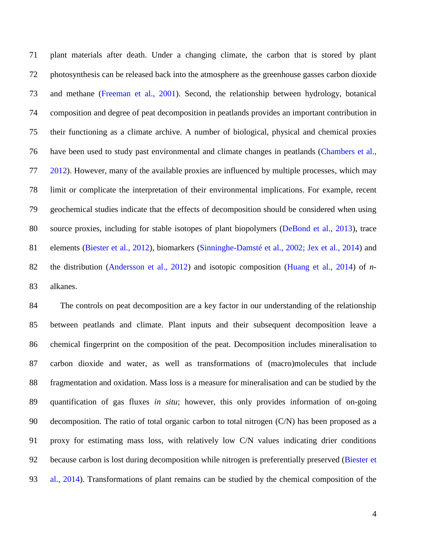plant materials after death. Under a changing climate, the carbon that is stored by plant photosynthesis can be released back into the atmosphere as the greenhouse gasses carbon dioxide and methane (Freeman et al., 2001). Second, the relationship between hydrology, botanical composition and degree of peat decomposition in peatlands provides an important contribution in their functioning as a climate archive. A number of biological, physical and chemical proxies have been used to study past environmental and climate changes in peatlands (Chambers et al., 2012). However, many of the available proxies are influenced by multiple processes, which may limit or complicate the interpretation of their environmental implications. For example, recent geochemical studies indicate that the effects of decomposition should be considered when using source proxies, including for stable isotopes of plant biopolymers (DeBond et al., 2013), trace elements (Biester et al., 2012), biomarkers (Sinninghe-Damsté et al., 2002; Jex et al., 2014) and the distribution (Andersson et al., 2012) and isotopic composition (Huang et al., 2014) of *n*-alkanes.

 The controls on peat decomposition are a key factor in our understanding of the relationship between peatlands and climate. Plant inputs and their subsequent decomposition leave a chemical fingerprint on the composition of the peat. Decomposition includes mineralisation to carbon dioxide and water, as well as transformations of (macro)molecules that include fragmentation and oxidation. Mass loss is a measure for mineralisation and can be studied by the quantification of gas fluxes *in situ*; however, this only provides information of on-going decomposition. The ratio of total organic carbon to total nitrogen (C/N) has been proposed as a proxy for estimating mass loss, with relatively low C/N values indicating drier conditions 92 because carbon is lost during decomposition while nitrogen is preferentially preserved (Biester et al., 2014). Transformations of plant remains can be studied by the chemical composition of the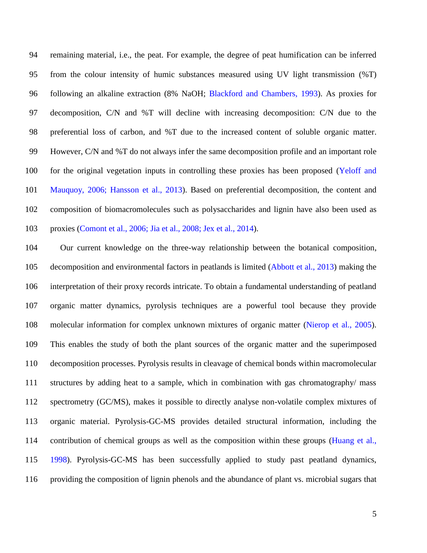remaining material, i.e., the peat. For example, the degree of peat humification can be inferred from the colour intensity of humic substances measured using UV light transmission (%T) following an alkaline extraction (8% NaOH; Blackford and Chambers, 1993). As proxies for decomposition, C/N and %T will decline with increasing decomposition: C/N due to the preferential loss of carbon, and %T due to the increased content of soluble organic matter. However, C/N and %T do not always infer the same decomposition profile and an important role for the original vegetation inputs in controlling these proxies has been proposed (Yeloff and Mauquoy, 2006; Hansson et al., 2013). Based on preferential decomposition, the content and composition of biomacromolecules such as polysaccharides and lignin have also been used as proxies (Comont et al., 2006; Jia et al., 2008; Jex et al., 2014).

 Our current knowledge on the three-way relationship between the botanical composition, decomposition and environmental factors in peatlands is limited (Abbott et al., 2013) making the interpretation of their proxy records intricate. To obtain a fundamental understanding of peatland organic matter dynamics, pyrolysis techniques are a powerful tool because they provide molecular information for complex unknown mixtures of organic matter (Nierop et al., 2005). This enables the study of both the plant sources of the organic matter and the superimposed decomposition processes. Pyrolysis results in cleavage of chemical bonds within macromolecular structures by adding heat to a sample, which in combination with gas chromatography/ mass spectrometry (GC/MS), makes it possible to directly analyse non-volatile complex mixtures of organic material. Pyrolysis-GC-MS provides detailed structural information, including the contribution of chemical groups as well as the composition within these groups (Huang et al., 1998). Pyrolysis-GC-MS has been successfully applied to study past peatland dynamics, providing the composition of lignin phenols and the abundance of plant vs. microbial sugars that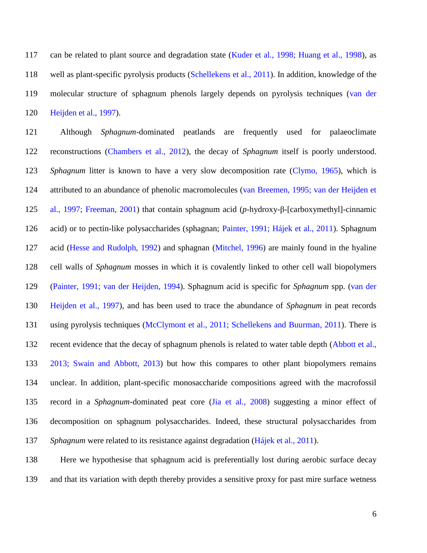can be related to plant source and degradation state (Kuder et al., 1998; Huang et al., 1998), as well as plant-specific pyrolysis products (Schellekens et al., 2011). In addition, knowledge of the molecular structure of sphagnum phenols largely depends on pyrolysis techniques (van der Heijden et al., 1997).

 Although *Sphagnum*-dominated peatlands are frequently used for palaeoclimate reconstructions (Chambers et al., 2012), the decay of *Sphagnum* itself is poorly understood. *Sphagnum* litter is known to have a very slow decomposition rate (Clymo, 1965), which is attributed to an abundance of phenolic macromolecules (van Breemen, 1995; van der Heijden et al., 1997; Freeman, 2001) that contain sphagnum acid (*p*-hydroxy-β-[carboxymethyl]-cinnamic acid) or to pectin-like polysaccharides (sphagnan; Painter, 1991; Hájek et al., 2011). Sphagnum acid (Hesse and Rudolph, 1992) and sphagnan (Mitchel, 1996) are mainly found in the hyaline cell walls of *Sphagnum* mosses in which it is covalently linked to other cell wall biopolymers (Painter, 1991; van der Heijden, 1994). Sphagnum acid is specific for *Sphagnum* spp. (van der Heijden et al., 1997), and has been used to trace the abundance of *Sphagnum* in peat records using pyrolysis techniques (McClymont et al., 2011; Schellekens and Buurman, 2011). There is 132 recent evidence that the decay of sphagnum phenols is related to water table depth (Abbott et al., 2013; Swain and Abbott, 2013) but how this compares to other plant biopolymers remains unclear. In addition, plant-specific monosaccharide compositions agreed with the macrofossil record in a *Sphagnum*-dominated peat core (Jia et al., 2008) suggesting a minor effect of decomposition on sphagnum polysaccharides. Indeed, these structural polysaccharides from *Sphagnum* were related to its resistance against degradation (Hájek et al., 2011).

 Here we hypothesise that sphagnum acid is preferentially lost during aerobic surface decay and that its variation with depth thereby provides a sensitive proxy for past mire surface wetness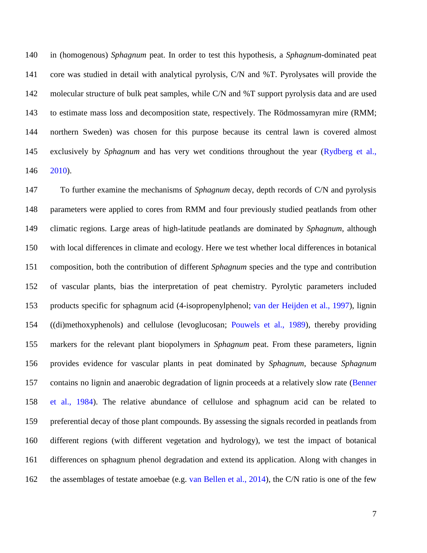in (homogenous) *Sphagnum* peat. In order to test this hypothesis, a *Sphagnum*-dominated peat core was studied in detail with analytical pyrolysis, C/N and %T. Pyrolysates will provide the molecular structure of bulk peat samples, while C/N and %T support pyrolysis data and are used to estimate mass loss and decomposition state, respectively. The Rödmossamyran mire (RMM; northern Sweden) was chosen for this purpose because its central lawn is covered almost exclusively by *Sphagnum* and has very wet conditions throughout the year (Rydberg et al., 2010).

 To further examine the mechanisms of *Sphagnum* decay, depth records of C/N and pyrolysis parameters were applied to cores from RMM and four previously studied peatlands from other climatic regions. Large areas of high-latitude peatlands are dominated by *Sphagnum*, although with local differences in climate and ecology. Here we test whether local differences in botanical composition, both the contribution of different *Sphagnum* species and the type and contribution of vascular plants, bias the interpretation of peat chemistry. Pyrolytic parameters included products specific for sphagnum acid (4-isopropenylphenol; van der Heijden et al., 1997), lignin ((di)methoxyphenols) and cellulose (levoglucosan; Pouwels et al., 1989), thereby providing markers for the relevant plant biopolymers in *Sphagnum* peat. From these parameters, lignin provides evidence for vascular plants in peat dominated by *Sphagnum*, because *Sphagnum* 157 contains no lignin and anaerobic degradation of lignin proceeds at a relatively slow rate (Benner et al., 1984). The relative abundance of cellulose and sphagnum acid can be related to preferential decay of those plant compounds. By assessing the signals recorded in peatlands from different regions (with different vegetation and hydrology), we test the impact of botanical differences on sphagnum phenol degradation and extend its application. Along with changes in 162 the assemblages of testate amoebae (e.g. van Bellen et al., 2014), the C/N ratio is one of the few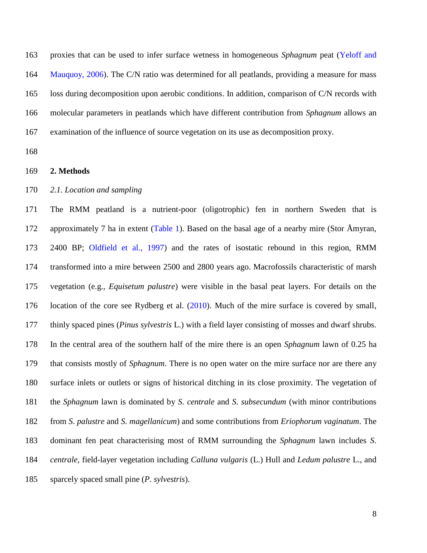proxies that can be used to infer surface wetness in homogeneous *Sphagnum* peat (Yeloff and Mauquoy, 2006). The C/N ratio was determined for all peatlands, providing a measure for mass loss during decomposition upon aerobic conditions. In addition, comparison of C/N records with molecular parameters in peatlands which have different contribution from *Sphagnum* allows an examination of the influence of source vegetation on its use as decomposition proxy.

#### **2. Methods**

#### *2.1. Location and sampling*

 The RMM peatland is a nutrient-poor (oligotrophic) fen in northern Sweden that is 172 approximately 7 ha in extent (Table 1). Based on the basal age of a nearby mire (Stor Åmyran, 2400 BP; Oldfield et al., 1997) and the rates of isostatic rebound in this region, RMM transformed into a mire between 2500 and 2800 years ago. Macrofossils characteristic of marsh vegetation (e.g., *Equisetum palustre*) were visible in the basal peat layers. For details on the location of the core see Rydberg et al. (2010). Much of the mire surface is covered by small, thinly spaced pines (*Pinus sylvestris* L.) with a field layer consisting of mosses and dwarf shrubs. In the central area of the southern half of the mire there is an open *Sphagnum* lawn of 0.25 ha that consists mostly of *Sphagnum*. There is no open water on the mire surface nor are there any surface inlets or outlets or signs of historical ditching in its close proximity. The vegetation of the *Sphagnum* lawn is dominated by *S*. *centrale* and *S*. *subsecundum* (with minor contributions from *S*. *palustre* and *S*. *magellanicum*) and some contributions from *Eriophorum vaginatum*. The dominant fen peat characterising most of RMM surrounding the *Sphagnum* lawn includes *S*. *centrale*, field-layer vegetation including *Calluna vulgaris* (L.) Hull and *Ledum palustre* L., and sparcely spaced small pine (*P*. *sylvestris*).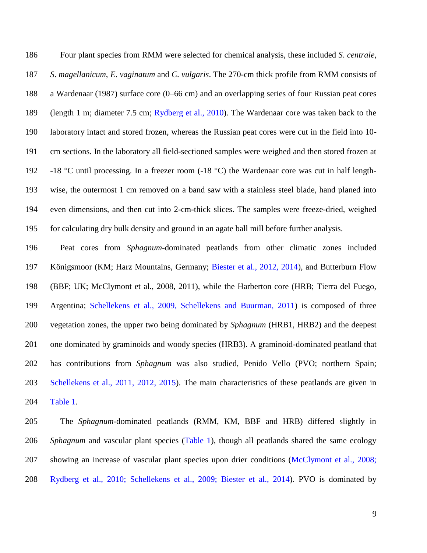Four plant species from RMM were selected for chemical analysis, these included *S*. *centrale*, *S*. *magellanicum*, *E*. *vaginatum* and *C*. *vulgaris*. The 270-cm thick profile from RMM consists of a Wardenaar (1987) surface core (0–66 cm) and an overlapping series of four Russian peat cores (length 1 m; diameter 7.5 cm; Rydberg et al., 2010). The Wardenaar core was taken back to the laboratory intact and stored frozen, whereas the Russian peat cores were cut in the field into 10- cm sections. In the laboratory all field-sectioned samples were weighed and then stored frozen at -18 °C until processing. In a freezer room (-18 °C) the Wardenaar core was cut in half length- wise, the outermost 1 cm removed on a band saw with a stainless steel blade, hand planed into even dimensions, and then cut into 2-cm-thick slices. The samples were freeze-dried, weighed for calculating dry bulk density and ground in an agate ball mill before further analysis.

 Peat cores from *Sphagnum*-dominated peatlands from other climatic zones included Königsmoor (KM; Harz Mountains, Germany; Biester et al., 2012, 2014), and Butterburn Flow (BBF; UK; McClymont et al., 2008, 2011), while the Harberton core (HRB; Tierra del Fuego, Argentina; Schellekens et al., 2009, Schellekens and Buurman, 2011) is composed of three vegetation zones, the upper two being dominated by *Sphagnum* (HRB1, HRB2) and the deepest one dominated by graminoids and woody species (HRB3). A graminoid-dominated peatland that has contributions from *Sphagnum* was also studied, Penido Vello (PVO; northern Spain; Schellekens et al., 2011, 2012, 2015). The main characteristics of these peatlands are given in Table 1.

 The *Sphagnum*-dominated peatlands (RMM, KM, BBF and HRB) differed slightly in *Sphagnum* and vascular plant species (Table 1), though all peatlands shared the same ecology showing an increase of vascular plant species upon drier conditions (McClymont et al., 2008; Rydberg et al., 2010; Schellekens et al., 2009; Biester et al., 2014). PVO is dominated by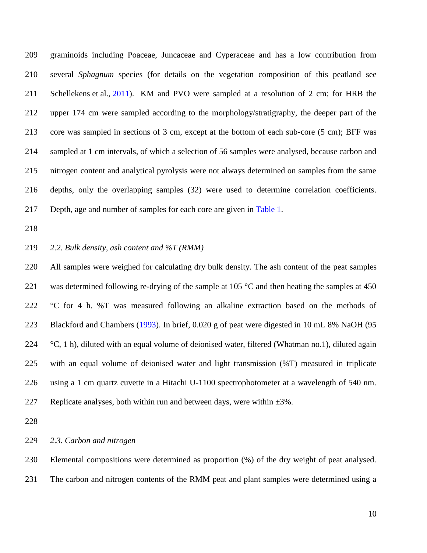graminoids including Poaceae, Juncaceae and Cyperaceae and has a low contribution from several *Sphagnum* species (for details on the vegetation composition of this peatland see Schellekens et al., 2011). KM and PVO were sampled at a resolution of 2 cm; for HRB the upper 174 cm were sampled according to the morphology/stratigraphy, the deeper part of the core was sampled in sections of 3 cm, except at the bottom of each sub-core (5 cm); BFF was sampled at 1 cm intervals, of which a selection of 56 samples were analysed, because carbon and nitrogen content and analytical pyrolysis were not always determined on samples from the same depths, only the overlapping samples (32) were used to determine correlation coefficients. Depth, age and number of samples for each core are given in Table 1.

#### *2.2. Bulk density, ash content and %T (RMM)*

 All samples were weighed for calculating dry bulk density. The ash content of the peat samples 221 was determined following re-drying of the sample at 105  $\degree$ C and then heating the samples at 450 °C for 4 h. %T was measured following an alkaline extraction based on the methods of Blackford and Chambers (1993). In brief, 0.020 g of peat were digested in 10 mL 8% NaOH (95  $\degree$ C, 1 h), diluted with an equal volume of deionised water, filtered (Whatman no.1), diluted again with an equal volume of deionised water and light transmission (%T) measured in triplicate using a 1 cm quartz cuvette in a Hitachi U-1100 spectrophotometer at a wavelength of 540 nm. 227 Replicate analyses, both within run and between days, were within  $\pm 3\%$ .

#### *2.3. Carbon and nitrogen*

 Elemental compositions were determined as proportion (%) of the dry weight of peat analysed. The carbon and nitrogen contents of the RMM peat and plant samples were determined using a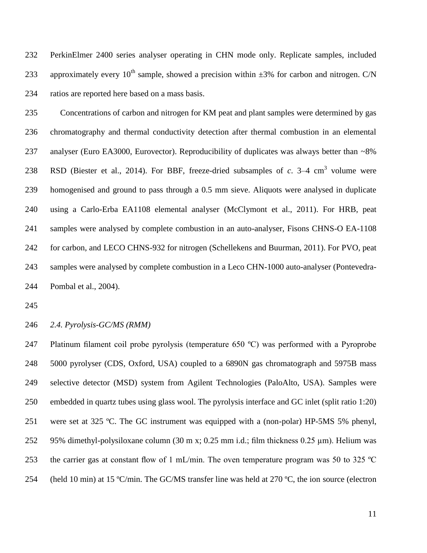PerkinElmer 2400 series analyser operating in CHN mode only. Replicate samples, included 233 approximately every  $10^{th}$  sample, showed a precision within  $\pm 3\%$  for carbon and nitrogen. C/N ratios are reported here based on a mass basis.

 Concentrations of carbon and nitrogen for KM peat and plant samples were determined by gas chromatography and thermal conductivity detection after thermal combustion in an elemental 237 analyser (Euro EA3000, Eurovector). Reproducibility of duplicates was always better than ~8% 238 RSD (Biester et al., 2014). For BBF, freeze-dried subsamples of  $c$ . 3–4 cm<sup>3</sup> volume were homogenised and ground to pass through a 0.5 mm sieve. Aliquots were analysed in duplicate using a Carlo-Erba EA1108 elemental analyser (McClymont et al., 2011). For HRB, peat samples were analysed by complete combustion in an auto-analyser, Fisons CHNS-O EA-1108 for carbon, and LECO CHNS-932 for nitrogen (Schellekens and Buurman, 2011). For PVO, peat samples were analysed by complete combustion in a Leco CHN-1000 auto-analyser (Pontevedra-Pombal et al., 2004).

### *2.4. Pyrolysis-GC/MS (RMM)*

 Platinum filament coil probe pyrolysis (temperature 650 ºC) was performed with a Pyroprobe 5000 pyrolyser (CDS, Oxford, USA) coupled to a 6890N gas chromatograph and 5975B mass selective detector (MSD) system from Agilent Technologies (PaloAlto, USA). Samples were embedded in quartz tubes using glass wool. The pyrolysis interface and GC inlet (split ratio 1:20) were set at 325 ºC. The GC instrument was equipped with a (non-polar) HP-5MS 5% phenyl, 95% dimethyl-polysiloxane column (30 m x; 0.25 mm i.d.; film thickness 0.25 µm). Helium was 253 the carrier gas at constant flow of 1 mL/min. The oven temperature program was 50 to 325  $^{\circ}$ C 254 (held 10 min) at 15 °C/min. The GC/MS transfer line was held at 270 °C, the ion source (electron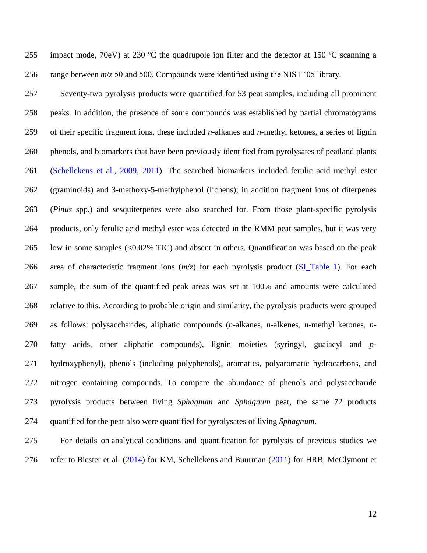255 impact mode, 70eV) at 230 °C the quadrupole ion filter and the detector at 150 °C scanning a range between *m*/*z* 50 and 500. Compounds were identified using the NIST '05 library.

 Seventy-two pyrolysis products were quantified for 53 peat samples, including all prominent peaks. In addition, the presence of some compounds was established by partial chromatograms of their specific fragment ions, these included *n*-alkanes and *n*-methyl ketones, a series of lignin phenols, and biomarkers that have been previously identified from pyrolysates of peatland plants (Schellekens et al., 2009, 2011). The searched biomarkers included ferulic acid methyl ester (graminoids) and 3-methoxy-5-methylphenol (lichens); in addition fragment ions of diterpenes (*Pinus* spp.) and sesquiterpenes were also searched for. From those plant-specific pyrolysis products, only ferulic acid methyl ester was detected in the RMM peat samples, but it was very low in some samples (<0.02% TIC) and absent in others. Quantification was based on the peak area of characteristic fragment ions (*m*/*z*) for each pyrolysis product (SI\_Table 1). For each sample, the sum of the quantified peak areas was set at 100% and amounts were calculated relative to this. According to probable origin and similarity, the pyrolysis products were grouped as follows: polysaccharides, aliphatic compounds (*n*-alkanes, *n*-alkenes, *n*-methyl ketones, *n*- fatty acids, other aliphatic compounds), lignin moieties (syringyl, guaiacyl and *p*- hydroxyphenyl), phenols (including polyphenols), aromatics, polyaromatic hydrocarbons, and nitrogen containing compounds. To compare the abundance of phenols and polysaccharide pyrolysis products between living *Sphagnum* and *Sphagnum* peat, the same 72 products quantified for the peat also were quantified for pyrolysates of living *Sphagnum*.

 For details on analytical conditions and quantification for pyrolysis of previous studies we refer to Biester et al. (2014) for KM, Schellekens and Buurman (2011) for HRB, McClymont et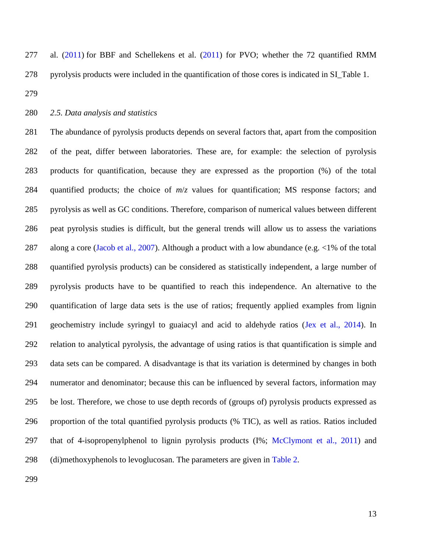al. (2011) for BBF and Schellekens et al. (2011) for PVO; whether the 72 quantified RMM pyrolysis products were included in the quantification of those cores is indicated in SI\_Table 1.

### *2.5. Data analysis and statistics*

 The abundance of pyrolysis products depends on several factors that, apart from the composition of the peat, differ between laboratories. These are, for example: the selection of pyrolysis products for quantification, because they are expressed as the proportion (%) of the total quantified products; the choice of *m*/*z* values for quantification; MS response factors; and pyrolysis as well as GC conditions. Therefore, comparison of numerical values between different peat pyrolysis studies is difficult, but the general trends will allow us to assess the variations 287 along a core (Jacob et al., 2007). Although a product with a low abundance (e.g. <1% of the total quantified pyrolysis products) can be considered as statistically independent, a large number of pyrolysis products have to be quantified to reach this independence. An alternative to the quantification of large data sets is the use of ratios; frequently applied examples from lignin geochemistry include syringyl to guaiacyl and acid to aldehyde ratios (Jex et al., 2014). In relation to analytical pyrolysis, the advantage of using ratios is that quantification is simple and data sets can be compared. A disadvantage is that its variation is determined by changes in both numerator and denominator; because this can be influenced by several factors, information may be lost. Therefore, we chose to use depth records of (groups of) pyrolysis products expressed as proportion of the total quantified pyrolysis products (% TIC), as well as ratios. Ratios included 297 that of 4-isopropenylphenol to lignin pyrolysis products  $(I\%; McClymont et al., 2011)$  and 298 (di)methoxyphenols to levoglucosan. The parameters are given in Table 2.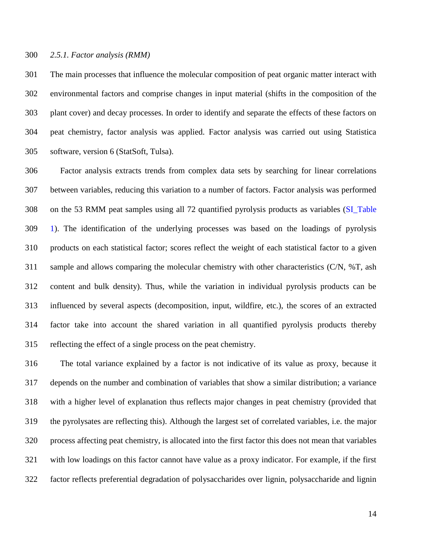#### *2.5.1. Factor analysis (RMM)*

 The main processes that influence the molecular composition of peat organic matter interact with environmental factors and comprise changes in input material (shifts in the composition of the plant cover) and decay processes. In order to identify and separate the effects of these factors on peat chemistry, factor analysis was applied. Factor analysis was carried out using Statistica software, version 6 (StatSoft, Tulsa).

 Factor analysis extracts trends from complex data sets by searching for linear correlations between variables, reducing this variation to a number of factors. Factor analysis was performed on the 53 RMM peat samples using all 72 quantified pyrolysis products as variables (SI\_Table 1). The identification of the underlying processes was based on the loadings of pyrolysis products on each statistical factor; scores reflect the weight of each statistical factor to a given sample and allows comparing the molecular chemistry with other characteristics (C/N, %T, ash content and bulk density). Thus, while the variation in individual pyrolysis products can be influenced by several aspects (decomposition, input, wildfire, etc.), the scores of an extracted factor take into account the shared variation in all quantified pyrolysis products thereby reflecting the effect of a single process on the peat chemistry.

 The total variance explained by a factor is not indicative of its value as proxy, because it depends on the number and combination of variables that show a similar distribution; a variance with a higher level of explanation thus reflects major changes in peat chemistry (provided that the pyrolysates are reflecting this). Although the largest set of correlated variables, i.e. the major process affecting peat chemistry, is allocated into the first factor this does not mean that variables with low loadings on this factor cannot have value as a proxy indicator. For example, if the first factor reflects preferential degradation of polysaccharides over lignin, polysaccharide and lignin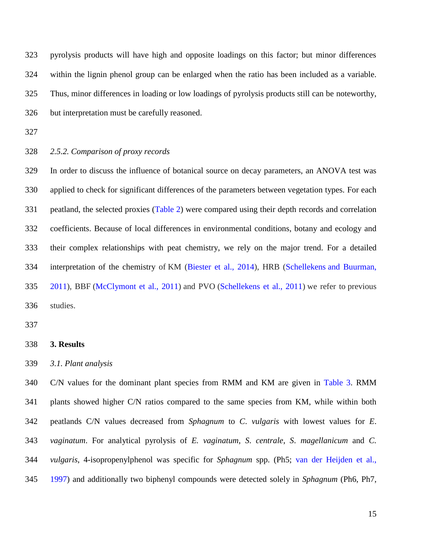pyrolysis products will have high and opposite loadings on this factor; but minor differences within the lignin phenol group can be enlarged when the ratio has been included as a variable. Thus, minor differences in loading or low loadings of pyrolysis products still can be noteworthy, but interpretation must be carefully reasoned.

- 
- *2.5.2. Comparison of proxy records*

 In order to discuss the influence of botanical source on decay parameters, an ANOVA test was applied to check for significant differences of the parameters between vegetation types. For each peatland, the selected proxies (Table 2) were compared using their depth records and correlation coefficients. Because of local differences in environmental conditions, botany and ecology and their complex relationships with peat chemistry, we rely on the major trend. For a detailed interpretation of the chemistry of KM (Biester et al., 2014), HRB (Schellekens and Buurman, 2011), BBF (McClymont et al., 2011) and PVO (Schellekens et al., 2011) we refer to previous studies.

### **3. Results**

*3.1. Plant analysis*

 C/N values for the dominant plant species from RMM and KM are given in Table 3. RMM plants showed higher C/N ratios compared to the same species from KM, while within both peatlands C/N values decreased from *Sphagnum* to *C*. *vulgaris* with lowest values for *E*. *vaginatum*. For analytical pyrolysis of *E. vaginatum*, *S*. *centrale*, *S*. *magellanicum* and *C. vulgaris*, 4-isopropenylphenol was specific for *Sphagnum* spp. (Ph5; van der Heijden et al., 1997) and additionally two biphenyl compounds were detected solely in *Sphagnum* (Ph6, Ph7,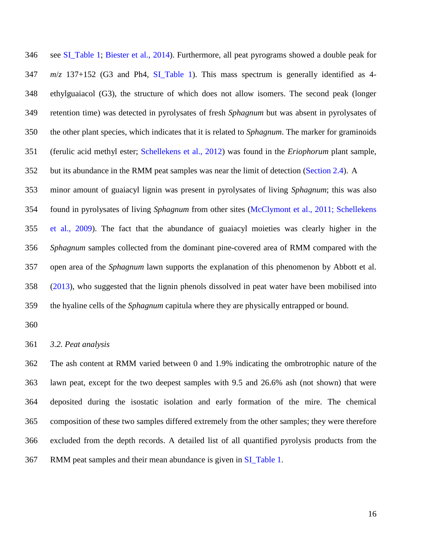see SI\_Table 1; Biester et al., 2014). Furthermore, all peat pyrograms showed a double peak for *m*/*z* 137+152 (G3 and Ph4, SI\_Table 1). This mass spectrum is generally identified as 4- ethylguaiacol (G3), the structure of which does not allow isomers. The second peak (longer retention time) was detected in pyrolysates of fresh *Sphagnum* but was absent in pyrolysates of the other plant species, which indicates that it is related to *Sphagnum*. The marker for graminoids (ferulic acid methyl ester; Schellekens et al., 2012) was found in the *Eriophorum* plant sample, 352 but its abundance in the RMM peat samples was near the limit of detection (Section 2.4). A minor amount of guaiacyl lignin was present in pyrolysates of living *Sphagnum*; this was also found in pyrolysates of living *Sphagnum* from other sites (McClymont et al., 2011; Schellekens et al., 2009). The fact that the abundance of guaiacyl moieties was clearly higher in the *Sphagnum* samples collected from the dominant pine-covered area of RMM compared with the open area of the *Sphagnum* lawn supports the explanation of this phenomenon by Abbott et al. (2013), who suggested that the lignin phenols dissolved in peat water have been mobilised into

the hyaline cells of the *Sphagnum* capitula where they are physically entrapped or bound.

*3.2. Peat analysis*

 The ash content at RMM varied between 0 and 1.9% indicating the ombrotrophic nature of the lawn peat, except for the two deepest samples with 9.5 and 26.6% ash (not shown) that were deposited during the isostatic isolation and early formation of the mire. The chemical composition of these two samples differed extremely from the other samples; they were therefore excluded from the depth records. A detailed list of all quantified pyrolysis products from the RMM peat samples and their mean abundance is given in SI\_Table 1.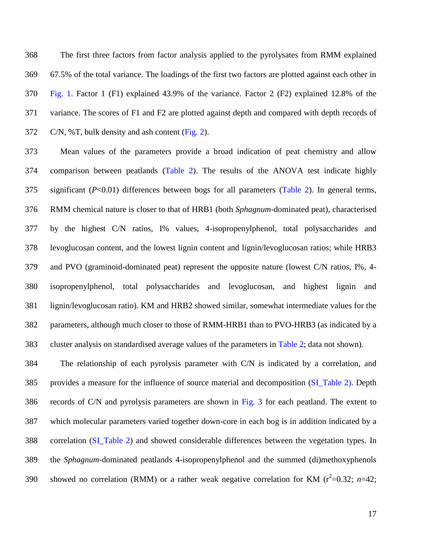The first three factors from factor analysis applied to the pyrolysates from RMM explained 67.5% of the total variance. The loadings of the first two factors are plotted against each other in Fig. 1. Factor 1 (F1) explained 43.9% of the variance. Factor 2 (F2) explained 12.8% of the variance. The scores of F1 and F2 are plotted against depth and compared with depth records of C/N, %T, bulk density and ash content (Fig. 2).

 Mean values of the parameters provide a broad indication of peat chemistry and allow comparison between peatlands (Table 2). The results of the ANOVA test indicate highly significant (*P*<0.01) differences between bogs for all parameters (Table 2). In general terms, RMM chemical nature is closer to that of HRB1 (both *Sphagnum-*dominated peat), characterised by the highest C/N ratios, I% values, 4-isopropenylphenol, total polysaccharides and levoglucosan content, and the lowest lignin content and lignin/levoglucosan ratios; while HRB3 and PVO (graminoid-dominated peat) represent the opposite nature (lowest C/N ratios, I%, 4- isopropenylphenol, total polysaccharides and levoglucosan, and highest lignin and lignin/levoglucosan ratio). KM and HRB2 showed similar, somewhat intermediate values for the parameters, although much closer to those of RMM-HRB1 than to PVO-HRB3 (as indicated by a cluster analysis on standardised average values of the parameters in Table 2; data not shown).

 The relationship of each pyrolysis parameter with C/N is indicated by a correlation, and provides a measure for the influence of source material and decomposition (SI\_Table 2). Depth records of C/N and pyrolysis parameters are shown in Fig. 3 for each peatland. The extent to which molecular parameters varied together down-core in each bog is in addition indicated by a correlation (SI\_Table 2) and showed considerable differences between the vegetation types. In the *Sphagnum*-dominated peatlands 4-isopropenylphenol and the summed (di)methoxyphenols 390 showed no correlation (RMM) or a rather weak negative correlation for KM ( $r^2$ =0.32; *n*=42;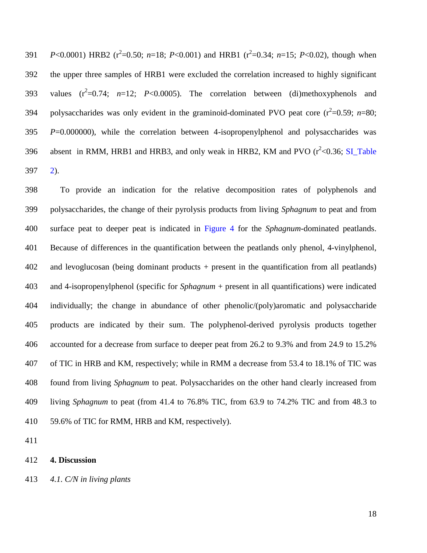391  $P<0.0001$ ) HRB2 ( $r^2$ =0.50; *n*=18; *P*<0.001) and HRB1 ( $r^2$ =0.34; *n*=15; *P*<0.02), though when the upper three samples of HRB1 were excluded the correlation increased to highly significant 393 values  $(r^2=0.74; n=12; P<0.0005)$ . The correlation between (di)methoxyphenols and 394 polysaccharides was only evident in the graminoid-dominated PVO peat core  $(r^2=0.59; n=80;$  *P*=0.000000), while the correlation between 4-isopropenylphenol and polysaccharides was 396 absent in RMM, HRB1 and HRB3, and only weak in HRB2, KM and PVO  $(r^2<0.36; S1$  Table 2).

 To provide an indication for the relative decomposition rates of polyphenols and polysaccharides, the change of their pyrolysis products from living *Sphagnum* to peat and from surface peat to deeper peat is indicated in Figure 4 for the *Sphagnum*-dominated peatlands. Because of differences in the quantification between the peatlands only phenol, 4-vinylphenol, and levoglucosan (being dominant products + present in the quantification from all peatlands) and 4-isopropenylphenol (specific for *Sphagnum* + present in all quantifications) were indicated individually; the change in abundance of other phenolic/(poly)aromatic and polysaccharide products are indicated by their sum. The polyphenol-derived pyrolysis products together accounted for a decrease from surface to deeper peat from 26.2 to 9.3% and from 24.9 to 15.2% of TIC in HRB and KM, respectively; while in RMM a decrease from 53.4 to 18.1% of TIC was found from living *Sphagnum* to peat. Polysaccharides on the other hand clearly increased from living *Sphagnum* to peat (from 41.4 to 76.8% TIC, from 63.9 to 74.2% TIC and from 48.3 to 59.6% of TIC for RMM, HRB and KM, respectively).

**4. Discussion**

*4.1. C/N in living plants*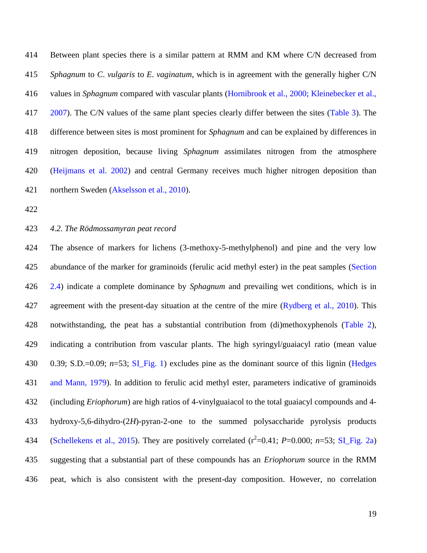Between plant species there is a similar pattern at RMM and KM where C/N decreased from *Sphagnum* to *C*. *vulgaris* to *E*. *vaginatum*, which is in agreement with the generally higher C/N values in *Sphagnum* compared with vascular plants (Hornibrook et al., 2000; Kleinebecker et al., 2007). The C/N values of the same plant species clearly differ between the sites (Table 3). The difference between sites is most prominent for *Sphagnum* and can be explained by differences in nitrogen deposition, because living *Sphagnum* assimilates nitrogen from the atmosphere (Heijmans et al. 2002) and central Germany receives much higher nitrogen deposition than northern Sweden (Akselsson et al., 2010).

*4.2. The Rödmossamyran peat record*

 The absence of markers for lichens (3-methoxy-5-methylphenol) and pine and the very low abundance of the marker for graminoids (ferulic acid methyl ester) in the peat samples (Section 2.4) indicate a complete dominance by *Sphagnum* and prevailing wet conditions, which is in 427 agreement with the present-day situation at the centre of the mire (Rydberg et al., 2010). This notwithstanding, the peat has a substantial contribution from (di)methoxyphenols (Table 2), indicating a contribution from vascular plants. The high syringyl/guaiacyl ratio (mean value 0.39; S.D.=0.09; *n*=53; SI\_Fig. 1) excludes pine as the dominant source of this lignin (Hedges and Mann, 1979). In addition to ferulic acid methyl ester, parameters indicative of graminoids (including *Eriophorum*) are high ratios of 4-vinylguaiacol to the total guaiacyl compounds and 4- hydroxy-5,6-dihydro-(2*H*)-pyran-2-one to the summed polysaccharide pyrolysis products 434 (Schellekens et al., 2015). They are positively correlated  $(r^2=0.41; P=0.000; n=53; SLFig. 2a)$  suggesting that a substantial part of these compounds has an *Eriophorum* source in the RMM peat, which is also consistent with the present-day composition. However, no correlation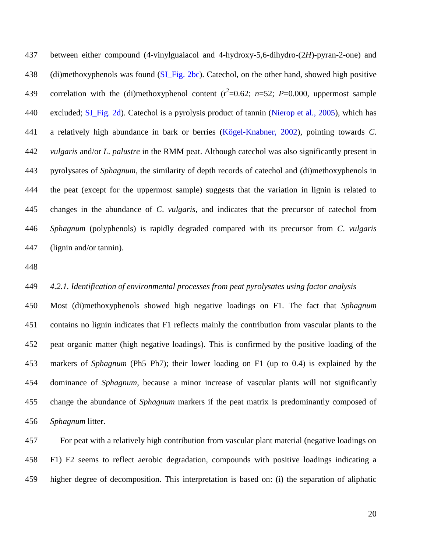between either compound (4-vinylguaiacol and 4-hydroxy-5,6-dihydro-(2*H*)-pyran-2-one) and 438 (di)methoxyphenols was found (SI Fig. 2bc). Catechol, on the other hand, showed high positive 439 correlation with the (di)methoxyphenol content  $(r^2=0.62; n=52; P=0.000,$  uppermost sample 440 excluded; SI Fig. 2d). Catechol is a pyrolysis product of tannin (Nierop et al., 2005), which has a relatively high abundance in bark or berries (Kögel-Knabner, 2002), pointing towards *C*. *vulgaris* and/or *L*. *palustre* in the RMM peat. Although catechol was also significantly present in pyrolysates of *Sphagnum*, the similarity of depth records of catechol and (di)methoxyphenols in the peat (except for the uppermost sample) suggests that the variation in lignin is related to changes in the abundance of *C*. *vulgaris*, and indicates that the precursor of catechol from *Sphagnum* (polyphenols) is rapidly degraded compared with its precursor from *C*. *vulgaris* (lignin and/or tannin).

### *4.2.1. Identification of environmental processes from peat pyrolysates using factor analysis*

 Most (di)methoxyphenols showed high negative loadings on F1. The fact that *Sphagnum* contains no lignin indicates that F1 reflects mainly the contribution from vascular plants to the peat organic matter (high negative loadings). This is confirmed by the positive loading of the markers of *Sphagnum* (Ph5–Ph7); their lower loading on F1 (up to 0.4) is explained by the dominance of *Sphagnum*, because a minor increase of vascular plants will not significantly change the abundance of *Sphagnum* markers if the peat matrix is predominantly composed of *Sphagnum* litter.

 For peat with a relatively high contribution from vascular plant material (negative loadings on F1) F2 seems to reflect aerobic degradation, compounds with positive loadings indicating a higher degree of decomposition. This interpretation is based on: (i) the separation of aliphatic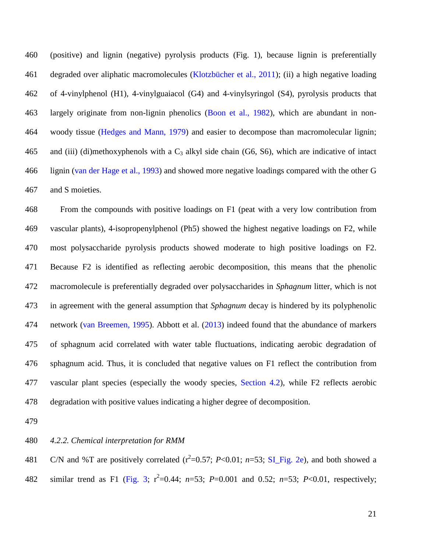(positive) and lignin (negative) pyrolysis products (Fig. 1), because lignin is preferentially degraded over aliphatic macromolecules (Klotzbücher et al., 2011); (ii) a high negative loading of 4-vinylphenol (H1), 4-vinylguaiacol (G4) and 4-vinylsyringol (S4), pyrolysis products that largely originate from non-lignin phenolics (Boon et al., 1982), which are abundant in non- woody tissue (Hedges and Mann, 1979) and easier to decompose than macromolecular lignin; 465 and (iii) (di)methoxyphenols with a  $C_3$  alkyl side chain (G6, S6), which are indicative of intact lignin (van der Hage et al., 1993) and showed more negative loadings compared with the other G and S moieties.

 From the compounds with positive loadings on F1 (peat with a very low contribution from vascular plants), 4-isopropenylphenol (Ph5) showed the highest negative loadings on F2, while most polysaccharide pyrolysis products showed moderate to high positive loadings on F2. Because F2 is identified as reflecting aerobic decomposition, this means that the phenolic macromolecule is preferentially degraded over polysaccharides in *Sphagnum* litter, which is not in agreement with the general assumption that *Sphagnum* decay is hindered by its polyphenolic network (van Breemen, 1995). Abbott et al. (2013) indeed found that the abundance of markers of sphagnum acid correlated with water table fluctuations, indicating aerobic degradation of sphagnum acid. Thus, it is concluded that negative values on F1 reflect the contribution from vascular plant species (especially the woody species, Section 4.2), while F2 reflects aerobic degradation with positive values indicating a higher degree of decomposition.

#### *4.2.2. Chemical interpretation for RMM*

481 C/N and %T are positively correlated  $(r^2=0.57; P<0.01; n=53; S1$  Fig. 2e), and both showed a 482 similar trend as F1 (Fig. 3;  $r^2=0.44$ ;  $n=53$ ;  $P=0.001$  and 0.52;  $n=53$ ;  $P<0.01$ , respectively;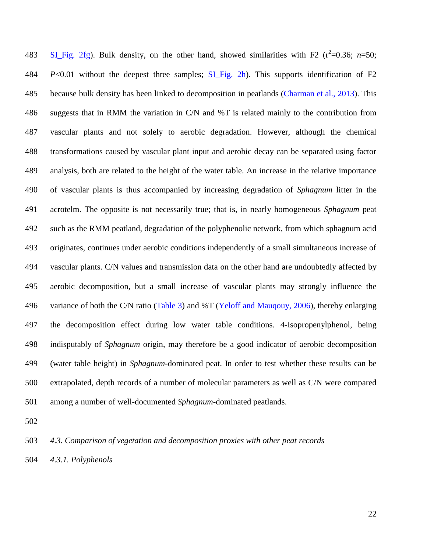483 SI\_Fig. 2fg). Bulk density, on the other hand, showed similarities with F2  $(r^2=0.36; n=50;$  *P*<0.01 without the deepest three samples; SI\_Fig. 2h). This supports identification of F2 because bulk density has been linked to decomposition in peatlands (Charman et al., 2013). This suggests that in RMM the variation in C/N and %T is related mainly to the contribution from vascular plants and not solely to aerobic degradation. However, although the chemical transformations caused by vascular plant input and aerobic decay can be separated using factor analysis, both are related to the height of the water table. An increase in the relative importance of vascular plants is thus accompanied by increasing degradation of *Sphagnum* litter in the acrotelm. The opposite is not necessarily true; that is, in nearly homogeneous *Sphagnum* peat such as the RMM peatland, degradation of the polyphenolic network, from which sphagnum acid originates, continues under aerobic conditions independently of a small simultaneous increase of vascular plants. C/N values and transmission data on the other hand are undoubtedly affected by aerobic decomposition, but a small increase of vascular plants may strongly influence the 496 variance of both the C/N ratio (Table 3) and %T (Yeloff and Maugouy, 2006), thereby enlarging the decomposition effect during low water table conditions. 4-Isopropenylphenol, being indisputably of *Sphagnum* origin, may therefore be a good indicator of aerobic decomposition (water table height) in *Sphagnum*-dominated peat. In order to test whether these results can be extrapolated, depth records of a number of molecular parameters as well as C/N were compared among a number of well-documented *Sphagnum*-dominated peatlands.

*4.3. Comparison of vegetation and decomposition proxies with other peat records*

*4.3.1. Polyphenols*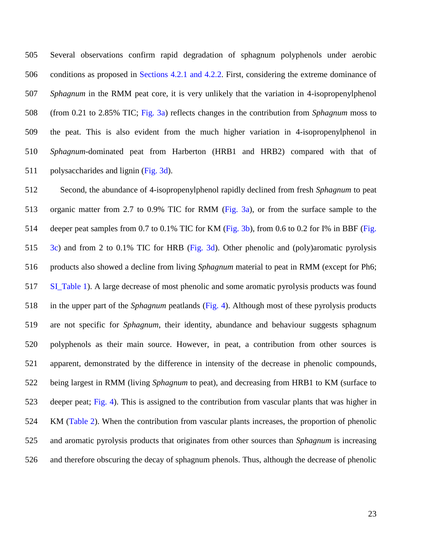Several observations confirm rapid degradation of sphagnum polyphenols under aerobic conditions as proposed in Sections 4.2.1 and 4.2.2. First, considering the extreme dominance of *Sphagnum* in the RMM peat core, it is very unlikely that the variation in 4-isopropenylphenol (from 0.21 to 2.85% TIC; Fig. 3a) reflects changes in the contribution from *Sphagnum* moss to the peat. This is also evident from the much higher variation in 4-isopropenylphenol in *Sphagnum*-dominated peat from Harberton (HRB1 and HRB2) compared with that of 511 polysaccharides and lignin (Fig. 3d).

 Second, the abundance of 4-isopropenylphenol rapidly declined from fresh *Sphagnum* to peat organic matter from 2.7 to 0.9% TIC for RMM (Fig. 3a), or from the surface sample to the 514 deeper peat samples from 0.7 to 0.1% TIC for KM (Fig. 3b), from 0.6 to 0.2 for I% in BBF (Fig. 3c) and from 2 to 0.1% TIC for HRB (Fig. 3d). Other phenolic and (poly)aromatic pyrolysis products also showed a decline from living *Sphagnum* material to peat in RMM (except for Ph6; SI\_Table 1). A large decrease of most phenolic and some aromatic pyrolysis products was found in the upper part of the *Sphagnum* peatlands (Fig. 4). Although most of these pyrolysis products are not specific for *Sphagnum*, their identity, abundance and behaviour suggests sphagnum polyphenols as their main source. However, in peat, a contribution from other sources is apparent, demonstrated by the difference in intensity of the decrease in phenolic compounds, being largest in RMM (living *Sphagnum* to peat), and decreasing from HRB1 to KM (surface to deeper peat; Fig. 4). This is assigned to the contribution from vascular plants that was higher in KM (Table 2). When the contribution from vascular plants increases, the proportion of phenolic and aromatic pyrolysis products that originates from other sources than *Sphagnum* is increasing and therefore obscuring the decay of sphagnum phenols. Thus, although the decrease of phenolic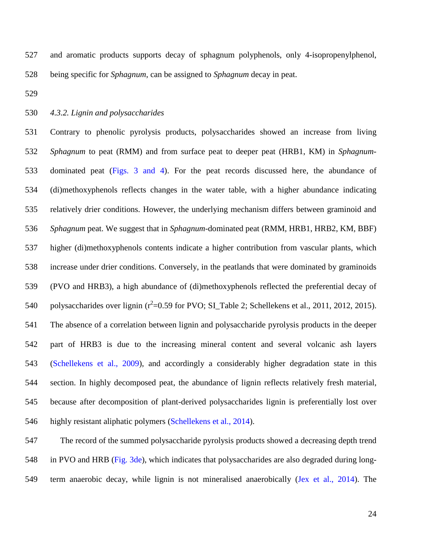and aromatic products supports decay of sphagnum polyphenols, only 4-isopropenylphenol, being specific for *Sphagnum*, can be assigned to *Sphagnum* decay in peat.

#### *4.3.2. Lignin and polysaccharides*

 Contrary to phenolic pyrolysis products, polysaccharides showed an increase from living *Sphagnum* to peat (RMM) and from surface peat to deeper peat (HRB1, KM) in *Sphagnum*- dominated peat (Figs. 3 and 4). For the peat records discussed here, the abundance of (di)methoxyphenols reflects changes in the water table, with a higher abundance indicating relatively drier conditions. However, the underlying mechanism differs between graminoid and *Sphagnum* peat. We suggest that in *Sphagnum*-dominated peat (RMM, HRB1, HRB2, KM, BBF) higher (di)methoxyphenols contents indicate a higher contribution from vascular plants, which increase under drier conditions. Conversely, in the peatlands that were dominated by graminoids (PVO and HRB3), a high abundance of (di)methoxyphenols reflected the preferential decay of 540 polysaccharides over lignin  $(r^2=0.59$  for PVO; SI\_Table 2; Schellekens et al., 2011, 2012, 2015). The absence of a correlation between lignin and polysaccharide pyrolysis products in the deeper part of HRB3 is due to the increasing mineral content and several volcanic ash layers (Schellekens et al., 2009), and accordingly a considerably higher degradation state in this section. In highly decomposed peat, the abundance of lignin reflects relatively fresh material, because after decomposition of plant-derived polysaccharides lignin is preferentially lost over highly resistant aliphatic polymers (Schellekens et al., 2014).

 The record of the summed polysaccharide pyrolysis products showed a decreasing depth trend in PVO and HRB (Fig. 3de), which indicates that polysaccharides are also degraded during long-549 term anaerobic decay, while lignin is not mineralised anaerobically (Jex et al., 2014). The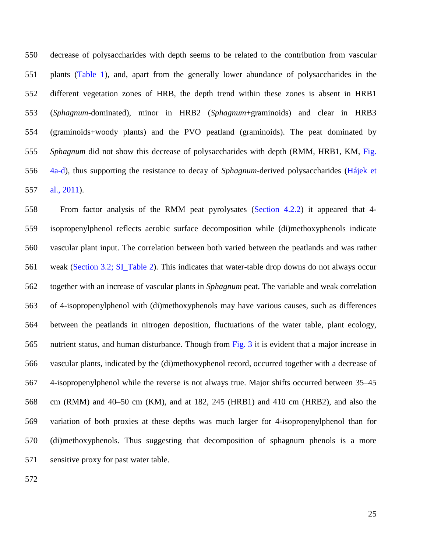decrease of polysaccharides with depth seems to be related to the contribution from vascular plants (Table 1), and, apart from the generally lower abundance of polysaccharides in the different vegetation zones of HRB, the depth trend within these zones is absent in HRB1 (*Sphagnum*-dominated), minor in HRB2 (*Sphagnum*+graminoids) and clear in HRB3 (graminoids+woody plants) and the PVO peatland (graminoids). The peat dominated by *Sphagnum* did not show this decrease of polysaccharides with depth (RMM, HRB1, KM, Fig. 4a-d), thus supporting the resistance to decay of *Sphagnum*-derived polysaccharides (Hájek et al., 2011).

 From factor analysis of the RMM peat pyrolysates (Section 4.2.2) it appeared that 4- isopropenylphenol reflects aerobic surface decomposition while (di)methoxyphenols indicate vascular plant input. The correlation between both varied between the peatlands and was rather weak (Section 3.2; SI\_Table 2). This indicates that water-table drop downs do not always occur together with an increase of vascular plants in *Sphagnum* peat. The variable and weak correlation of 4-isopropenylphenol with (di)methoxyphenols may have various causes, such as differences between the peatlands in nitrogen deposition, fluctuations of the water table, plant ecology, nutrient status, and human disturbance. Though from Fig. 3 it is evident that a major increase in vascular plants, indicated by the (di)methoxyphenol record, occurred together with a decrease of 4-isopropenylphenol while the reverse is not always true. Major shifts occurred between 35–45 cm (RMM) and 40–50 cm (KM), and at 182, 245 (HRB1) and 410 cm (HRB2), and also the variation of both proxies at these depths was much larger for 4-isopropenylphenol than for (di)methoxyphenols. Thus suggesting that decomposition of sphagnum phenols is a more sensitive proxy for past water table.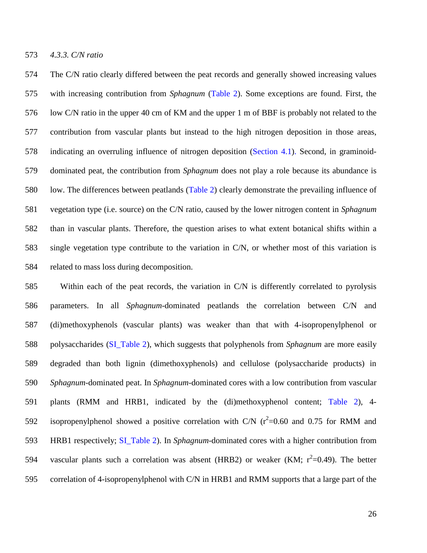*4.3.3. C/N ratio*

 The C/N ratio clearly differed between the peat records and generally showed increasing values with increasing contribution from *Sphagnum* (Table 2). Some exceptions are found. First, the low C/N ratio in the upper 40 cm of KM and the upper 1 m of BBF is probably not related to the contribution from vascular plants but instead to the high nitrogen deposition in those areas, indicating an overruling influence of nitrogen deposition (Section 4.1). Second, in graminoid- dominated peat, the contribution from *Sphagnum* does not play a role because its abundance is low. The differences between peatlands (Table 2) clearly demonstrate the prevailing influence of vegetation type (i.e. source) on the C/N ratio, caused by the lower nitrogen content in *Sphagnum* than in vascular plants. Therefore, the question arises to what extent botanical shifts within a single vegetation type contribute to the variation in C/N, or whether most of this variation is related to mass loss during decomposition.

 Within each of the peat records, the variation in C/N is differently correlated to pyrolysis parameters. In all *Sphagnum*-dominated peatlands the correlation between C/N and (di)methoxyphenols (vascular plants) was weaker than that with 4-isopropenylphenol or polysaccharides (SI\_Table 2), which suggests that polyphenols from *Sphagnum* are more easily degraded than both lignin (dimethoxyphenols) and cellulose (polysaccharide products) in *Sphagnum*-dominated peat. In *Sphagnum*-dominated cores with a low contribution from vascular plants (RMM and HRB1, indicated by the (di)methoxyphenol content; Table 2), 4- 592 isopropenylphenol showed a positive correlation with C/N ( $r^2$ =0.60 and 0.75 for RMM and HRB1 respectively; SI\_Table 2). In *Sphagnum*-dominated cores with a higher contribution from 594 vascular plants such a correlation was absent (HRB2) or weaker (KM;  $r^2$ =0.49). The better correlation of 4-isopropenylphenol with C/N in HRB1 and RMM supports that a large part of the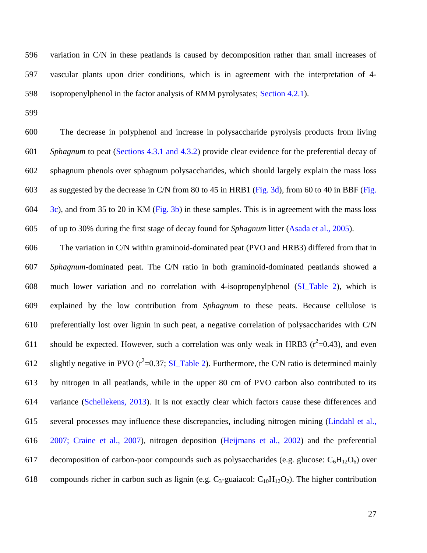variation in C/N in these peatlands is caused by decomposition rather than small increases of vascular plants upon drier conditions, which is in agreement with the interpretation of 4- isopropenylphenol in the factor analysis of RMM pyrolysates; Section 4.2.1).

 The decrease in polyphenol and increase in polysaccharide pyrolysis products from living *Sphagnum* to peat (Sections 4.3.1 and 4.3.2) provide clear evidence for the preferential decay of sphagnum phenols over sphagnum polysaccharides, which should largely explain the mass loss as suggested by the decrease in C/N from 80 to 45 in HRB1 (Fig. 3d), from 60 to 40 in BBF (Fig. 3c), and from 35 to 20 in KM (Fig. 3b) in these samples. This is in agreement with the mass loss of up to 30% during the first stage of decay found for *Sphagnum* litter (Asada et al., 2005).

 The variation in C/N within graminoid-dominated peat (PVO and HRB3) differed from that in *Sphagnum*-dominated peat. The C/N ratio in both graminoid-dominated peatlands showed a much lower variation and no correlation with 4-isopropenylphenol (SI\_Table 2), which is explained by the low contribution from *Sphagnum* to these peats. Because cellulose is preferentially lost over lignin in such peat, a negative correlation of polysaccharides with C/N 611 should be expected. However, such a correlation was only weak in HRB3 ( $r^2$ =0.43), and even 612 slightly negative in PVO ( $r^2$ =0.37; SI\_Table 2). Furthermore, the C/N ratio is determined mainly by nitrogen in all peatlands, while in the upper 80 cm of PVO carbon also contributed to its variance (Schellekens, 2013). It is not exactly clear which factors cause these differences and several processes may influence these discrepancies, including nitrogen mining (Lindahl et al., 2007; Craine et al., 2007), nitrogen deposition (Heijmans et al., 2002) and the preferential 617 decomposition of carbon-poor compounds such as polysaccharides (e.g. glucose:  $C_6H_{12}O_6$ ) over 618 compounds richer in carbon such as lignin (e.g.  $C_3$ -guaiacol:  $C_{10}H_{12}O_2$ ). The higher contribution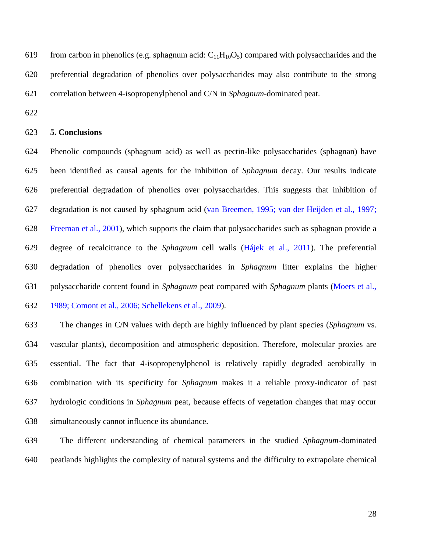619 from carbon in phenolics (e.g. sphagnum acid:  $C_{11}H_{10}O_5$ ) compared with polysaccharides and the preferential degradation of phenolics over polysaccharides may also contribute to the strong correlation between 4-isopropenylphenol and C/N in *Sphagnum*-dominated peat.

### **5. Conclusions**

 Phenolic compounds (sphagnum acid) as well as pectin-like polysaccharides (sphagnan) have been identified as causal agents for the inhibition of *Sphagnum* decay. Our results indicate preferential degradation of phenolics over polysaccharides. This suggests that inhibition of degradation is not caused by sphagnum acid (van Breemen, 1995; van der Heijden et al., 1997; Freeman et al., 2001), which supports the claim that polysaccharides such as sphagnan provide a degree of recalcitrance to the *Sphagnum* cell walls (Hájek et al., 2011). The preferential degradation of phenolics over polysaccharides in *Sphagnum* litter explains the higher polysaccharide content found in *Sphagnum* peat compared with *Sphagnum* plants (Moers et al., 1989; Comont et al., 2006; Schellekens et al., 2009).

 The changes in C/N values with depth are highly influenced by plant species (*Sphagnum* vs. vascular plants), decomposition and atmospheric deposition. Therefore, molecular proxies are essential. The fact that 4-isopropenylphenol is relatively rapidly degraded aerobically in combination with its specificity for *Sphagnum* makes it a reliable proxy-indicator of past hydrologic conditions in *Sphagnum* peat, because effects of vegetation changes that may occur simultaneously cannot influence its abundance.

 The different understanding of chemical parameters in the studied *Sphagnum*-dominated peatlands highlights the complexity of natural systems and the difficulty to extrapolate chemical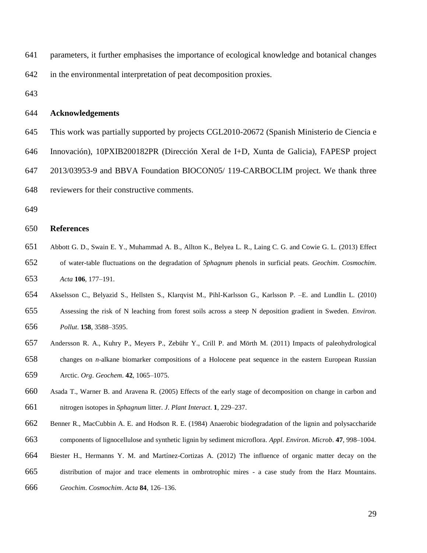- parameters, it further emphasises the importance of ecological knowledge and botanical changes in the environmental interpretation of peat decomposition proxies.
- 

#### **Acknowledgements**

- This work was partially supported by projects CGL2010-20672 (Spanish Ministerio de Ciencia e
- Innovación), 10PXIB200182PR (Dirección Xeral de I+D, Xunta de Galicia), FAPESP project
- 2013/03953-9 and BBVA Foundation BIOCON05/ 119-CARBOCLIM project. We thank three
- reviewers for their constructive comments.
- 

#### **References**

- Abbott G. D., Swain E. Y., Muhammad A. B., Allton K., Belyea L. R., Laing C. G. and Cowie G. L. (2013) Effect of water-table fluctuations on the degradation of *Sphagnum* phenols in surficial peats. *Geochim*. *Cosmochim*. *Acta* **106**, 177–191.
- Akselsson C., Belyazid S., Hellsten S., Klarqvist M., Pihl-Karlsson G., Karlsson P. –E. and Lundlin L. (2010) Assessing the risk of N leaching from forest soils across a steep N deposition gradient in Sweden. *Environ. Pollut*. **158**, 3588–3595.
- Andersson R. A., Kuhry P., Meyers P., Zebühr Y., Crill P. and Mörth M. (2011) Impacts of paleohydrological changes on *n*-alkane biomarker compositions of a Holocene peat sequence in the eastern European Russian Arctic. *Org*. *Geochem*. **42**, 1065–1075.
- Asada T., Warner B. and Aravena R. (2005) Effects of the early stage of decomposition on change in carbon and nitrogen isotopes in *Sphagnum* litter. *J*. *Plant Interact*. **1**, 229–237.
- Benner R., MacCubbin A. E. and Hodson R. E. (1984) Anaerobic biodegradation of the lignin and polysaccharide
- components of lignocellulose and synthetic lignin by sediment microflora. *Appl*. *Environ*. *Microb*. **47**, 998–1004.
- Biester H., Hermanns Y. M. and Martínez-Cortizas A. (2012) The influence of organic matter decay on the
- distribution of major and trace elements in ombrotrophic mires a case study from the Harz Mountains.
- *Geochim*. *Cosmochim*. *Acta* **84**, 126–136.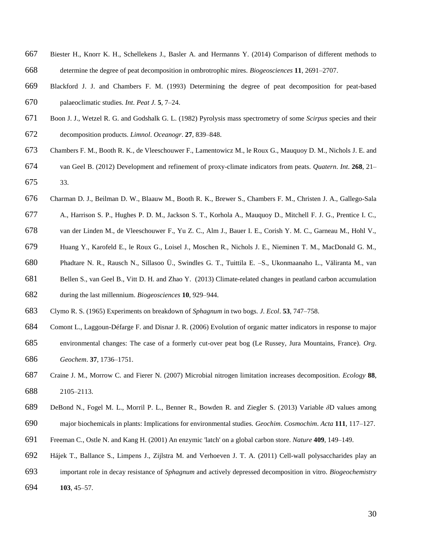- Biester H., Knorr K. H., Schellekens J., Basler A. and Hermanns Y. (2014) Comparison of different methods to determine the degree of peat decomposition in ombrotrophic mires. *Biogeosciences* **11**, 2691–2707.
- Blackford J. J. and Chambers F. M. (1993) Determining the degree of peat decomposition for peat-based palaeoclimatic studies. *Int*. *Peat J.* **5**, 7–24.
- Boon J. J., Wetzel R. G. and Godshalk G. L. (1982) Pyrolysis mass spectrometry of some *Scirpus* species and their decomposition products. *Limnol*. *Oceanogr*. **27**, 839–848.
- Chambers F. M., Booth R. K., de Vleeschouwer F., Lamentowicz M., le Roux G., Mauquoy D. M., Nichols J. E. and van Geel B. (2012) Development and refinement of proxy-climate indicators from peats. *Quatern*. *Int*. **268**, 21– 33.
- Charman D. J., Beilman D. W., Blaauw M., Booth R. K., Brewer S., Chambers F. M., Christen J. A., Gallego-Sala
- A., Harrison S. P., Hughes P. D. M., Jackson S. T., Korhola A., Mauquoy D., Mitchell F. J. G., Prentice I. C.,
- van der Linden M., de Vleeschouwer F., Yu Z. C., Alm J., Bauer I. E., Corish Y. M. C., Garneau M., Hohl V.,
- Huang Y., Karofeld E., le Roux G., Loisel J., Moschen R., Nichols J. E., Nieminen T. M., MacDonald G. M.,
- Phadtare N. R., Rausch N., Sillasoo Ü., Swindles G. T., Tuittila E. –S., Ukonmaanaho L., Väliranta M., van
- Bellen S., van Geel B., Vitt D. H. and Zhao Y. (2013) Climate-related changes in peatland carbon accumulation
- during the last millennium. *Biogeosciences* **10**, 929–944.
- Clymo R. S. (1965) Experiments on breakdown of *Sphagnum* in two bogs. *J*. *Ecol*. **53**, 747–758.
- Comont L., Laggoun-Défarge F. and Disnar J. R. (2006) Evolution of organic matter indicators in response to major environmental changes: The case of a formerly cut-over peat bog (Le Russey, Jura Mountains, France). *Org*. *Geochem*. **37**, 1736–1751.
- Craine J. M., Morrow C. and Fierer N. (2007) Microbial nitrogen limitation increases decomposition. *Ecology* **88**, 2105–2113.
- DeBond N., Fogel M. L., Morril P. L., Benner R., Bowden R. and Ziegler S. (2013) Variable *δ*D values among
- major biochemicals in plants: Implications for environmental studies. *Geochim*. *Cosmochim*. *Acta* **111**, 117–127.
- Freeman C., Ostle N. and Kang H. (2001) An enzymic 'latch' on a global carbon store. *Nature* **409**, 149–149.
- Hájek T., Ballance S., Limpens J., Zijlstra M. and Verhoeven J. T. A. (2011) Cell-wall polysaccharides play an
- important role in decay resistance of *Sphagnum* and actively depressed decomposition in vitro. *Biogeochemistry*
- **103**, 45–57.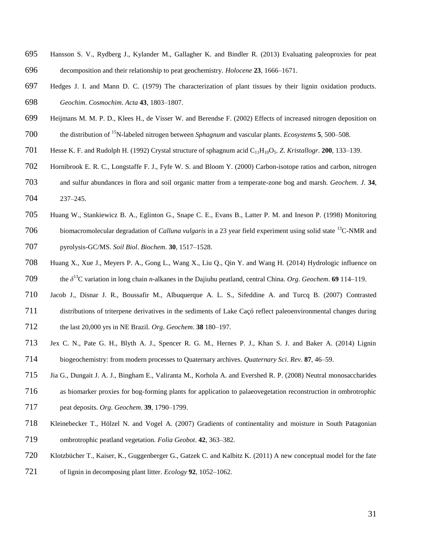- Hansson S. V., Rydberg J., Kylander M., Gallagher K. and Bindler R. (2013) Evaluating paleoproxies for peat decomposition and their relationship to peat geochemistry. *Holocene* **23**, 1666–1671.
- Hedges J. I. and Mann D. C. (1979) The characterization of plant tissues by their lignin oxidation products. *Geochim*. *Cosmochim*. *Acta* **43**, 1803–1807.
- Heijmans M. M. P. D., Klees H., de Visser W. and Berendse F. (2002) Effects of increased nitrogen deposition on 700 the distribution of <sup>15</sup>N-labeled nitrogen between *Sphagnum* and vascular plants. *Ecosystems* **5**, 500–508.
- Hesse K. F. and Rudolph H. (1992) Crystal structure of sphagnum acid C11H10O5. *Z*. *Kristallogr*. **200**, 133–139.
- Hornibrook E. R. C., Longstaffe F. J., Fyfe W. S. and Bloom Y. (2000) Carbon-isotope ratios and carbon, nitrogen and sulfur abundances in flora and soil organic matter from a temperate-zone bog and marsh. *Geochem*. *J*. **34**, 237–245.
- Huang W., Stankiewicz B. A., Eglinton G., Snape C. E., Evans B., Latter P. M. and Ineson P. (1998) Monitoring 706 biomacromolecular degradation of *Calluna vulgaris* in a 23 year field experiment using solid state <sup>13</sup>C-NMR and pyrolysis-GC/MS. *Soil Biol*. *Biochem*. **30**, 1517–1528.
- Huang X., Xue J., Meyers P. A., Gong L., Wang X., Liu Q., Qin Y. and Wang H. (2014) Hydrologic influence on 709 the  $\delta^{13}$ C variation in long chain *n*-alkanes in the Dajiuhu peatland, central China. *Org. Geochem*. **69** 114–119.
- Jacob J., Disnar J. R., Boussafir M., Albuquerque A. L. S., Sifeddine A. and Turcq B. (2007) Contrasted
- distributions of triterpene derivatives in the sediments of Lake Caçó reflect paleoenvironmental changes during the last 20,000 yrs in NE Brazil. *Org*. *Geochem*. **38** 180–197.
- Jex C. N., Pate G. H., Blyth A. J., Spencer R. G. M., Hernes P. J., Khan S. J. and Baker A. (2014) Lignin biogeochemistry: from modern processes to Quaternary archives. *Quaternary Sci*. *Rev*. **87**, 46–59.
- Jia G., Dungait J. A. J., Bingham E., Valiranta M., Korhola A. and Evershed R. P. (2008) Neutral monosaccharides as biomarker proxies for bog-forming plants for application to palaeovegetation reconstruction in ombrotrophic
- peat deposits. *Org*. *Geochem*. **39**, 1790–1799.
- Kleinebecker T., Hölzel N. and Vogel A. (2007) Gradients of continentality and moisture in South Patagonian ombrotrophic peatland vegetation. *Folia Geobot*. **42**, 363–382.
- Klotzbücher T., Kaiser, K., Guggenberger G., Gatzek C. and Kalbitz K. (2011) A new conceptual model for the fate
- of lignin in decomposing plant litter. *Ecology* **92**, 1052–1062.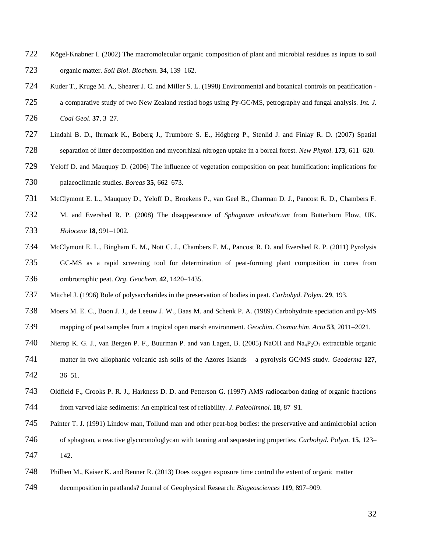- Kögel-Knabner I. (2002) The macromolecular organic composition of plant and microbial residues as inputs to soil organic matter. *Soil Biol*. *Biochem*. **34**, 139–162.
- Kuder T., Kruge M. A., Shearer J. C. and Miller S. L. (1998) Environmental and botanical controls on peatification -
- a comparative study of two New Zealand restiad bogs using Py-GC/MS, petrography and fungal analysis. *Int. J. Coal Geol*. **37**, 3–27.
- Lindahl B. D., Ihrmark K., Boberg J., Trumbore S. E., Högberg P., Stenlid J. and Finlay R. D. (2007) Spatial separation of litter decomposition and mycorrhizal nitrogen uptake in a boreal forest. *New Phytol*. **173**, 611–620.
- Yeloff D. and Mauquoy D. (2006) The influence of vegetation composition on peat humification: implications for palaeoclimatic studies. *Boreas* **35**, 662–673.
- McClymont E. L., Mauquoy D., Yeloff D., Broekens P., van Geel B., Charman D. J., Pancost R. D., Chambers F.
- M. and Evershed R. P. (2008) The disappearance of *Sphagnum imbraticum* from Butterburn Flow, UK. *Holocene* **18**, 991–1002.
- McClymont E. L., Bingham E. M., Nott C. J., Chambers F. M., Pancost R. D. and Evershed R. P. (2011) Pyrolysis GC-MS as a rapid screening tool for determination of peat-forming plant composition in cores from ombrotrophic peat. *Org*. *Geochem*. **42**, 1420–1435.
- Mitchel J. (1996) Role of polysaccharides in the preservation of bodies in peat. *Carbohyd*. *Polym*. **29**, 193.
- Moers M. E. C., Boon J. J., de Leeuw J. W., Baas M. and Schenk P. A. (1989) Carbohydrate speciation and py-MS mapping of peat samples from a tropical open marsh environment. *Geochim*. *Cosmochim*. *Acta* **53**, 2011–2021.
- 740 Nierop K. G. J., van Bergen P. F., Buurman P. and van Lagen, B. (2005) NaOH and Na<sub>4</sub>P<sub>2</sub>O<sub>7</sub> extractable organic
- matter in two allophanic volcanic ash soils of the Azores Islands a pyrolysis GC/MS study. *Geoderma* **127**, 36–51.
- Oldfield F., Crooks P. R. J., Harkness D. D. and Petterson G. (1997) AMS radiocarbon dating of organic fractions from varved lake sediments: An empirical test of reliability. *J*. *Paleolimnol*. **18**, 87–91.
- Painter T. J. (1991) Lindow man, Tollund man and other peat-bog bodies: the preservative and antimicrobial action
- of sphagnan, a reactive glycuronologlycan with tanning and sequestering properties. *Carbohyd*. *Polym*. **15**, 123– 142.
- Philben M., Kaiser K. and Benner R. (2013) Does oxygen exposure time control the extent of organic matter
- decomposition in peatlands? Journal of Geophysical Research: *Biogeosciences* **119**, 897–909.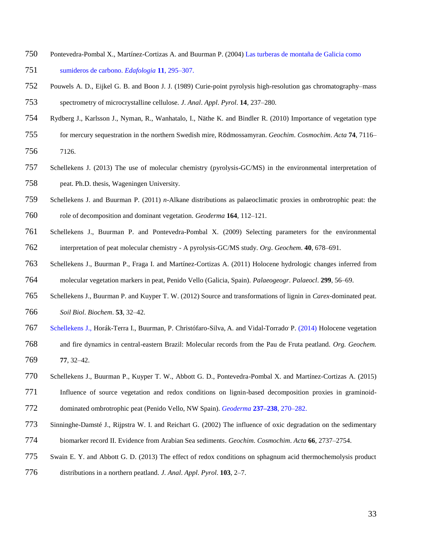- Pontevedra-Pombal X., Martínez-Cortizas A. and Buurman P. (2004) Las turberas de montaña de Galicia como sumideros de carbono. *Edafologia* **11**, 295–307.
- Pouwels A. D., Eijkel G. B. and Boon J. J. (1989) Curie-point pyrolysis high-resolution gas chromatography–mass spectrometry of microcrystalline cellulose. *J*. *Anal*. *Appl*. *Pyrol*. **14**, 237–280.
- Rydberg J., Karlsson J., Nyman, R., Wanhatalo, I., Näthe K. and Bindler R. (2010) Importance of vegetation type
- for mercury sequestration in the northern Swedish mire, Rӧdmossamyran. *Geochim*. *Cosmochim*. *Acta* **74**, 7116–
- 7126.
- Schellekens J. (2013) The use of molecular chemistry (pyrolysis-GC/MS) in the environmental interpretation of peat. Ph.D. thesis, Wageningen University.
- Schellekens J. and Buurman P. (2011) *n*-Alkane distributions as palaeoclimatic proxies in ombrotrophic peat: the role of decomposition and dominant vegetation. *Geoderma* **164**, 112–121.
- Schellekens J., Buurman P. and Pontevedra-Pombal X. (2009) Selecting parameters for the environmental interpretation of peat molecular chemistry - A pyrolysis-GC/MS study. *Org*. *Geochem*. **40**, 678–691.
- Schellekens J., Buurman P., Fraga I. and Martínez-Cortizas A. (2011) Holocene hydrologic changes inferred from molecular vegetation markers in peat, Penido Vello (Galicia, Spain). *Palaeogeogr*. *Palaeocl*. **299**, 56–69.
- Schellekens J., Buurman P. and Kuyper T. W. (2012) Source and transformations of lignin in *Carex*-dominated peat. *Soil Biol*. *Biochem*. **53**, 32–42.
- 767 Schellekens J., Horák-Terra I., Buurman, P. Christófaro-Silva, A. and Vidal-Torrado P. (2014) Holocene vegetation
- and fire dynamics in central-eastern Brazil: Molecular records from the Pau de Fruta peatland. *Org. Geochem.* **77**, 32–42.
- Schellekens J., Buurman P., Kuyper T. W., Abbott G. D., Pontevedra-Pombal X. and Martínez-Cortizas A. (2015)
- Influence of source vegetation and redox conditions on lignin-based decomposition proxies in graminoid-dominated ombrotrophic peat (Penido Vello, NW Spain). *Geoderma* **237–238**, 270–282.
- Sinninghe-Damsté J., Rijpstra W. I. and Reichart G. (2002) The influence of oxic degradation on the sedimentary biomarker record II. Evidence from Arabian Sea sediments. *Geochim*. *Cosmochim*. *Acta* **66**, 2737–2754.
- Swain E. Y. and Abbott G. D. (2013) The effect of redox conditions on sphagnum acid thermochemolysis product
- distributions in a northern peatland. *J*. *Anal*. *Appl*. *Pyrol*. **103**, 2–7.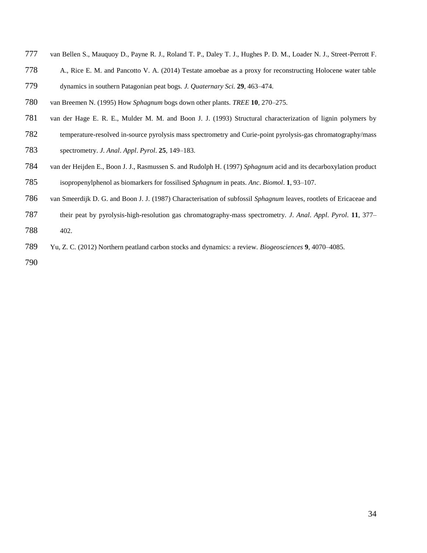- van Bellen S., Mauquoy D., Payne R. J., Roland T. P., Daley T. J., Hughes P. D. M., Loader N. J., Street-Perrott F.
- A., Rice E. M. and Pancotto V. A. (2014) Testate amoebae as a proxy for reconstructing Holocene water table dynamics in southern Patagonian peat bogs. *J. Quaternary Sci.* **29**, 463–474.
- van Breemen N. (1995) How *Sphagnum* bogs down other plants. *TREE* **10**, 270–275.
- van der Hage E. R. E., Mulder M. M. and Boon J. J. (1993) Structural characterization of lignin polymers by
- temperature-resolved in-source pyrolysis mass spectrometry and Curie-point pyrolysis-gas chromatography/mass
- spectrometry. *J*. *Anal*. *Appl*. *Pyrol*. **25**, 149–183.
- van der Heijden E., Boon J. J., Rasmussen S. and Rudolph H. (1997) *Sphagnum* acid and its decarboxylation product isopropenylphenol as biomarkers for fossilised *Sphagnum* in peats. *Anc*. *Biomol*. **1**, 93–107.
- van Smeerdijk D. G. and Boon J. J. (1987) Characterisation of subfossil *Sphagnum* leaves, rootlets of Ericaceae and
- their peat by pyrolysis-high-resolution gas chromatography-mass spectrometry. *J*. *Anal*. *Appl*. *Pyrol*. **11**, 377–
- 402.
- Yu, Z. C. (2012) Northern peatland carbon stocks and dynamics: a review. *Biogeosciences* **9**, 4070–4085.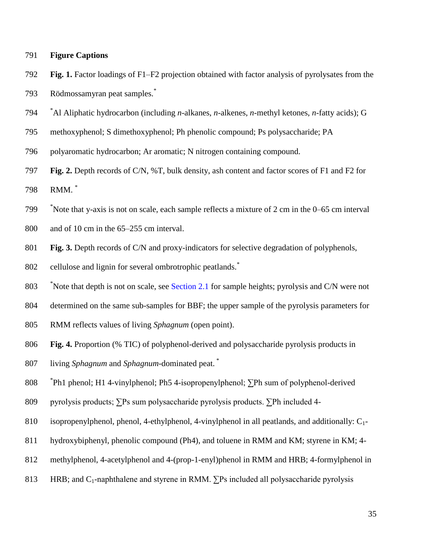- **Figure Captions**
- **Fig. 1.** Factor loadings of F1–F2 projection obtained with factor analysis of pyrolysates from the Rödmossamyran peat samples.\*
- <sup>\*</sup> Al Aliphatic hydrocarbon (including *n*-alkanes, *n*-alkenes, *n*-methyl ketones, *n*-fatty acids); G
- methoxyphenol; S dimethoxyphenol; Ph phenolic compound; Ps polysaccharide; PA
- polyaromatic hydrocarbon; Ar aromatic; N nitrogen containing compound.
- **Fig. 2.** Depth records of C/N, %T, bulk density, ash content and factor scores of F1 and F2 for RMM. \*
- \* Note that y-axis is not on scale, each sample reflects a mixture of 2 cm in the 0–65 cm interval
- and of 10 cm in the 65–255 cm interval.
- **Fig. 3.** Depth records of C/N and proxy-indicators for selective degradation of polyphenols,
- cellulose and lignin for several ombrotrophic peatlands.\*
- <sup>\*</sup>Note that depth is not on scale, see Section 2.1 for sample heights; pyrolysis and C/N were not
- determined on the same sub-samples for BBF; the upper sample of the pyrolysis parameters for
- RMM reflects values of living *Sphagnum* (open point).
- **Fig. 4.** Proportion (% TIC) of polyphenol-derived and polysaccharide pyrolysis products in
- living *Sphagnum* and *Sphagnum*-dominated peat. \*
- 808 <sup>\*</sup>Ph1 phenol; H1 4-vinylphenol; Ph5 4-isopropenylphenol; ∑Ph sum of polyphenol-derived
- pyrolysis products; ∑Ps sum polysaccharide pyrolysis products. ∑Ph included 4-
- isopropenylphenol, phenol, 4-ethylphenol, 4-vinylphenol in all peatlands, and additionally: C1-
- hydroxybiphenyl, phenolic compound (Ph4), and toluene in RMM and KM; styrene in KM; 4-
- methylphenol, 4-acetylphenol and 4-(prop-1-enyl)phenol in RMM and HRB; 4-formylphenol in
- 813 HRB; and  $C_1$ -naphthalene and styrene in RMM.  $\Sigma$ Ps included all polysaccharide pyrolysis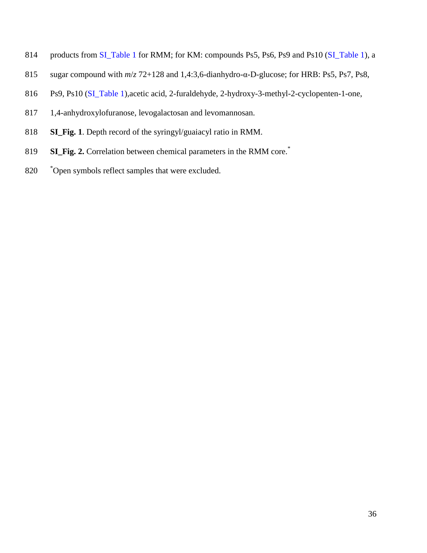- 814 products from SI\_Table 1 for RMM; for KM: compounds Ps5, Ps6, Ps9 and Ps10 (SI\_Table 1), a
- sugar compound with *m*/*z* 72+128 and 1,4:3,6-dianhydro-α-D-glucose; for HRB: Ps5, Ps7, Ps8,
- Ps9, Ps10 (SI\_Table 1),acetic acid, 2-furaldehyde, 2-hydroxy-3-methyl-2-cyclopenten-1-one,
- 1,4-anhydroxylofuranose, levogalactosan and levomannosan.
- **SI\_Fig. 1**. Depth record of the syringyl/guaiacyl ratio in RMM.
- **SI\_Fig. 2.** Correlation between chemical parameters in the RMM core.\*
- 820 <sup>\*</sup>Open symbols reflect samples that were excluded.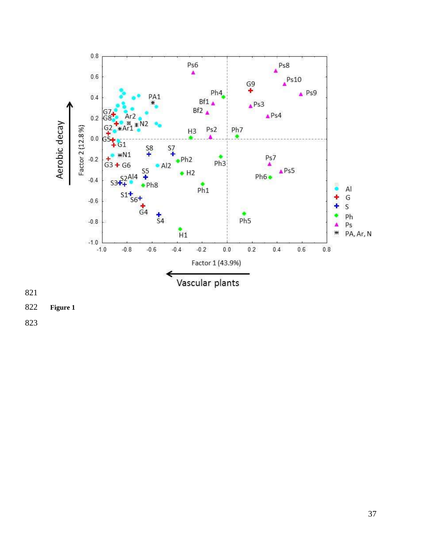

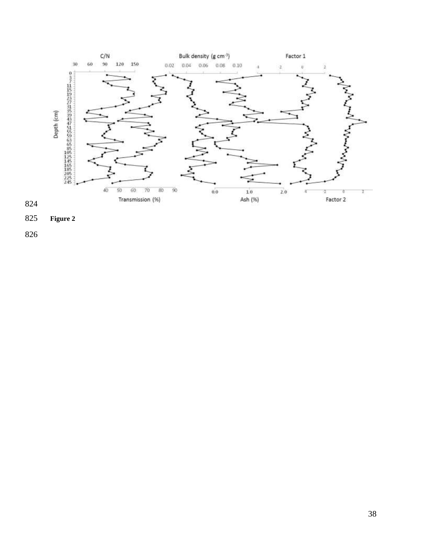

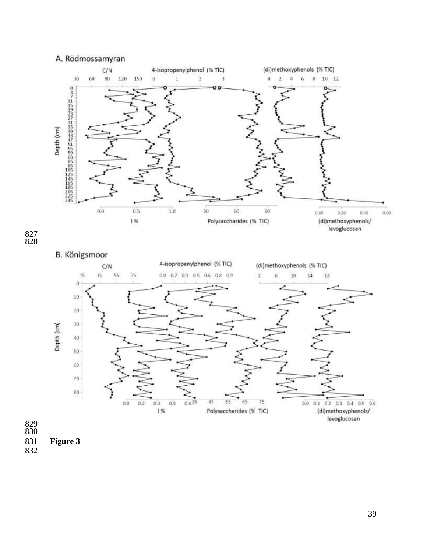## A. Rödmossamyran



#### 

# B. Königsmoor



 

**Figure 3**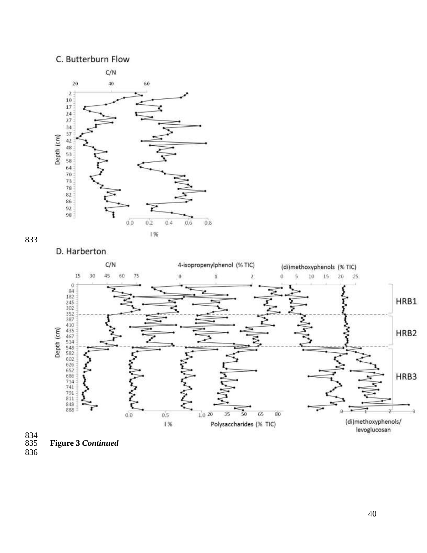### C. Butterburn Flow









834<br>835

**Figure 3** *Continued*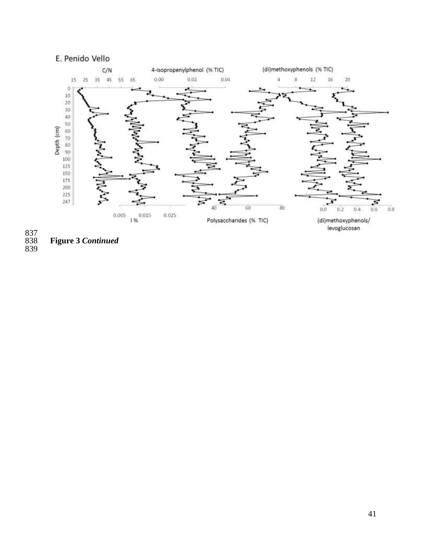# E. Penido Vello



 **Figure 3** *Continued*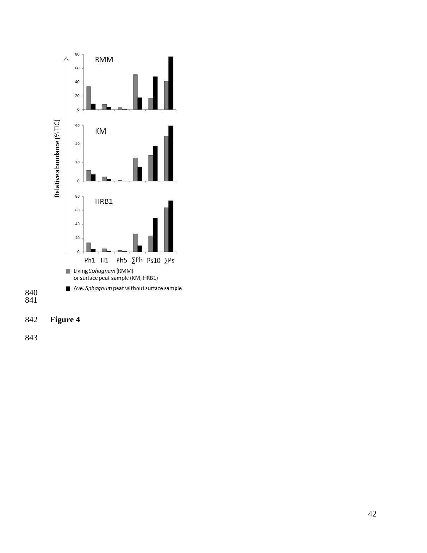



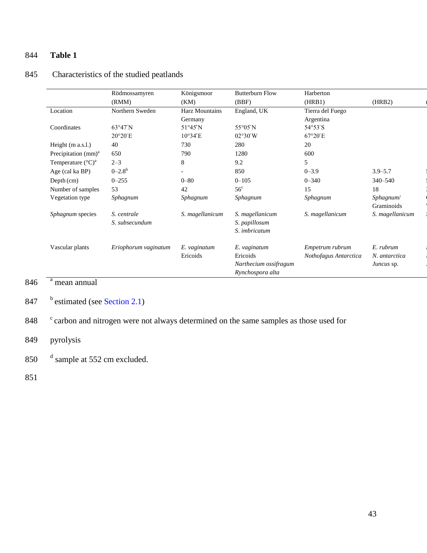# 844 **Table 1**

|                                 | Rödmossamyren        | Königsmoor               | <b>Butterburn Flow</b> | Harberton             |                 |
|---------------------------------|----------------------|--------------------------|------------------------|-----------------------|-----------------|
|                                 | (RMM)                | (KM)                     | (BBF)                  | (HRB1)                | (HRB2)          |
| Location                        | Northern Sweden      | <b>Harz Mountains</b>    | England, UK            | Tierra del Fuego      |                 |
|                                 |                      | Germany                  |                        | Argentina             |                 |
| Coordinates                     | $63^{\circ}47'$ N    | $51^{\circ}45'$ N        | 55°05′N                | 54°53′S               |                 |
|                                 | 20°20'E              | $10^{\circ}34'E$         | 02°30'W                | $67^{\circ}20'E$      |                 |
| Height $(m a.s.l.)$             | 40                   | 730                      | 280                    | 20                    |                 |
| Precipitation (mm) <sup>a</sup> | 650                  | 790                      | 1280                   | 600                   |                 |
| Temperature $({}^{\circ}C)^{a}$ | $2 - 3$              | 8                        | 9.2                    | 5                     |                 |
| Age (cal ka BP)                 | $0 - 2.8^b$          | $\overline{\phantom{0}}$ | 850                    | $0 - 3.9$             | $3.9 - 5.7$     |
| $Depth$ (cm)                    | $0 - 255$            | $0 - 80$                 | $0 - 105$              | $0 - 340$             | 340-540         |
| Number of samples               | 53                   | 42                       | $56^{\circ}$           | 15                    | 18              |
| Vegetation type                 | Sphagnum             | Sphagnum                 | Sphagnum               | Sphagnum              | Sphagnum/       |
|                                 |                      |                          |                        |                       | Graminoids      |
| Sphagnum species                | S. centrale          | S. magellanicum          | S. magellanicum        | S. magellanicum       | S. magellanicum |
|                                 | S. subsecundum       |                          | S. papillosum          |                       |                 |
|                                 |                      |                          | S. imbricatum          |                       |                 |
| Vascular plants                 | Eriophorum vaginatum | E. vaginatum             | E. vaginatum           | Empetrum rubrum       | E. rubrum       |
|                                 |                      | Ericoids                 | Ericoids               | Nothofagus Antarctica | N. antarctica   |
|                                 |                      |                          | Narthecium ossifragum  |                       | Juncus sp.      |
|                                 |                      |                          | Rynchospora alta       |                       |                 |
|                                 |                      |                          |                        |                       |                 |

# 845 Characteristics of the studied peatlands

### $846$  <sup>a</sup> mean annual

# 847 b estimated (see Section 2.1)

848 carbon and nitrogen were not always determined on the same samples as those used for

# 849 pyrolysis

- 850  $d$  sample at 552 cm excluded.
- 851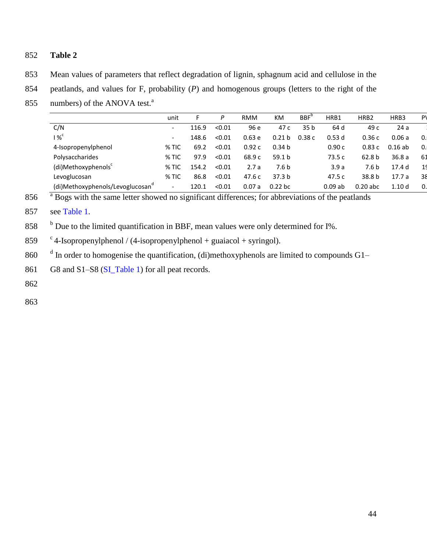## 852 **Table 2**

- 853 Mean values of parameters that reflect degradation of lignin, sphagnum acid and cellulose in the
- 854 peatlands, and values for F, probability (*P*) and homogenous groups (letters to the right of the
- 855 numbers) of the ANOVA test. $a<sup>a</sup>$

|                                              | unit                     |       | P      | <b>RMM</b> | KM                | $BBF^{\circ}$   | HRB1      | HRB <sub>2</sub>  | HRB3              | P          |
|----------------------------------------------|--------------------------|-------|--------|------------|-------------------|-----------------|-----------|-------------------|-------------------|------------|
| C/N                                          | $\overline{\phantom{a}}$ | 116.9 | < 0.01 | 96 e       | 47 c              | 35 <sub>b</sub> | 64 d      | 49 c              | 24a               |            |
| %                                            | $\overline{\phantom{a}}$ | 148.6 | < 0.01 | 0.63e      | 0.21 <sub>b</sub> | 0.38c           | 0.53d     | 0.36c             | 0.06a             | $\Omega$ . |
| 4-Isopropenylphenol                          | $%$ TIC                  | 69.2  | < 0.01 | 0.92c      | 0.34 <sub>b</sub> |                 | 0.90c     | 0.83c             | 0.16ab            | $\Omega$ . |
| Polysaccharides                              | % TIC                    | 97.9  | < 0.01 | 68.9 c     | 59.1 b            |                 | 73.5 c    | 62.8 <sub>b</sub> | 36.8a             | 61         |
| (di)Methoxyphenols                           | $%$ TIC                  | 154.2 | < 0.01 | 2.7a       | 7.6 <sub>b</sub>  |                 | 3.9a      | 7.6 <sub>b</sub>  | 17.4 <sub>d</sub> | 19         |
| Levoglucosan                                 | $%$ TIC                  | 86.8  | < 0.01 | 47.6 c     | 37.3 <sub>b</sub> |                 | 47.5 c    | 38.8 <sub>b</sub> | 17.7a             | 38         |
| (di)Methoxyphenols/Levoglucosan <sup>d</sup> | $\overline{\phantom{0}}$ | 120.1 | < 0.01 | 0.07a      | $0.22$ bc         |                 | $0.09$ ab | $0.20$ abc        | 1.10 <sub>d</sub> | 0.         |

 $856$   $\overline{a}$  Bogs with the same letter showed no significant differences; for abbreviations of the peatlands

857 see Table 1.

 $858$  b Due to the limited quantification in BBF, mean values were only determined for I%.

859  $\degree$  4-Isopropenylphenol / (4-isopropenylphenol + guaiacol + syringol).

860  $\frac{d}{dx}$  In order to homogenise the quantification, (di)methoxyphenols are limited to compounds G1–

861 G8 and S1–S8 (SI\_Table 1) for all peat records.

862